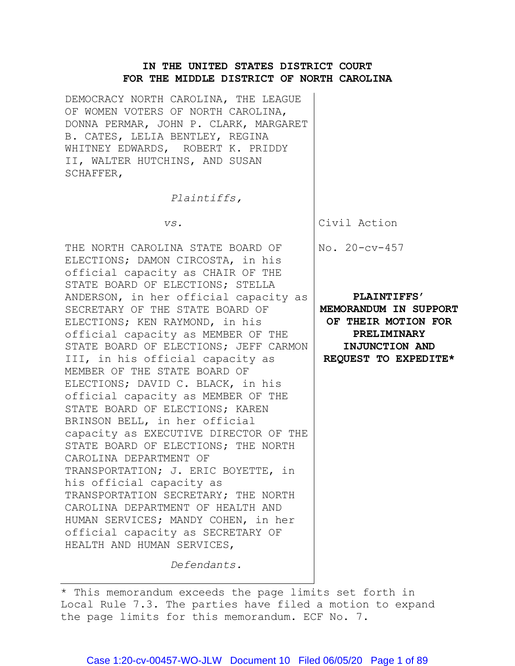# **IN THE UNITED STATES DISTRICT COURT FOR THE MIDDLE DISTRICT OF NORTH CAROLINA**

DEMOCRACY NORTH CAROLINA, THE LEAGUE OF WOMEN VOTERS OF NORTH CAROLINA, DONNA PERMAR, JOHN P. CLARK, MARGARET B. CATES, LELIA BENTLEY, REGINA WHITNEY EDWARDS, ROBERT K. PRIDDY II, WALTER HUTCHINS, AND SUSAN SCHAFFER,

*Plaintiffs,*

 *vs.*

THE NORTH CAROLINA STATE BOARD OF ELECTIONS; DAMON CIRCOSTA, in his official capacity as CHAIR OF THE STATE BOARD OF ELECTIONS; STELLA ANDERSON, in her official capacity as SECRETARY OF THE STATE BOARD OF ELECTIONS; KEN RAYMOND, in his official capacity as MEMBER OF THE STATE BOARD OF ELECTIONS; JEFF CARMON III, in his official capacity as MEMBER OF THE STATE BOARD OF ELECTIONS; DAVID C. BLACK, in his official capacity as MEMBER OF THE STATE BOARD OF ELECTIONS; KAREN BRINSON BELL, in her official capacity as EXECUTIVE DIRECTOR OF THE STATE BOARD OF ELECTIONS; THE NORTH CAROLINA DEPARTMENT OF TRANSPORTATION; J. ERIC BOYETTE, in his official capacity as TRANSPORTATION SECRETARY; THE NORTH CAROLINA DEPARTMENT OF HEALTH AND HUMAN SERVICES; MANDY COHEN, in her official capacity as SECRETARY OF HEALTH AND HUMAN SERVICES,

Civil Action

No. 20-cv-457

**PLAINTIFFS' MEMORANDUM IN SUPPORT OF THEIR MOTION FOR PRELIMINARY INJUNCTION AND REQUEST TO EXPEDITE\***

*Defendants.*

<sup>\*</sup> This memorandum exceeds the page limits set forth in Local Rule 7.3. The parties have filed a motion to expand the page limits for this memorandum. ECF No. 7.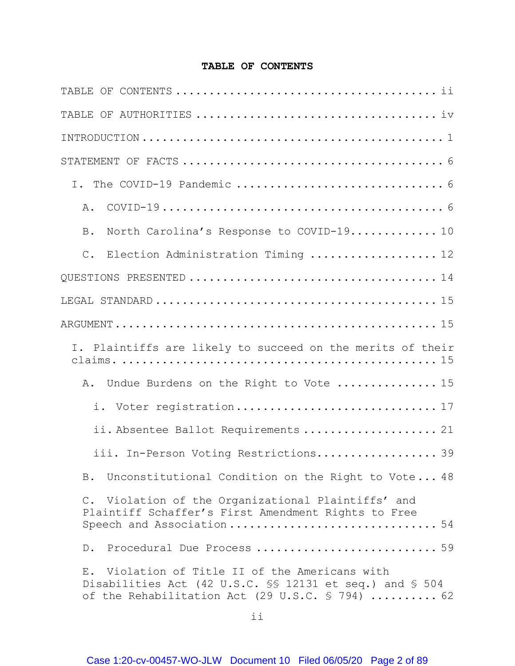# **TABLE OF CONTENTS**

<span id="page-1-0"></span>

| Α.                                                                                                                                                           |
|--------------------------------------------------------------------------------------------------------------------------------------------------------------|
| North Carolina's Response to COVID-19 10<br>$\, {\bf B}$ .                                                                                                   |
| Election Administration Timing  12<br>$C$ .                                                                                                                  |
|                                                                                                                                                              |
|                                                                                                                                                              |
|                                                                                                                                                              |
| I. Plaintiffs are likely to succeed on the merits of their                                                                                                   |
| Undue Burdens on the Right to Vote  15<br>Α.                                                                                                                 |
| i. Voter registration 17                                                                                                                                     |
| ii. Absentee Ballot Requirements  21                                                                                                                         |
| iii. In-Person Voting Restrictions 39                                                                                                                        |
| B. Unconstitutional Condition on the Right to Vote 48                                                                                                        |
| C. Violation of the Organizational Plaintiffs' and<br>Plaintiff Schaffer's First Amendment Rights to Free<br>Speech and Association 54                       |
| D. Procedural Due Process  59                                                                                                                                |
| E. Violation of Title II of the Americans with<br>Disabilities Act (42 U.S.C. SS 12131 et seq.) and S 504<br>of the Rehabilitation Act (29 U.S.C. § 794)  62 |

ii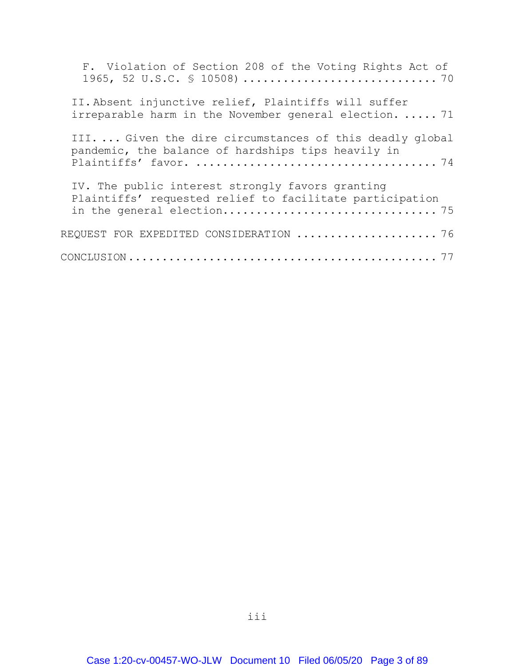| F. Violation of Section 208 of the Voting Rights Act of                                                        |  |
|----------------------------------------------------------------------------------------------------------------|--|
| II. Absent injunctive relief, Plaintiffs will suffer<br>irreparable harm in the November general election.  71 |  |
| III Given the dire circumstances of this deadly global<br>pandemic, the balance of hardships tips heavily in   |  |
| IV. The public interest strongly favors granting<br>Plaintiffs' requested relief to facilitate participation   |  |
| REQUEST FOR EXPEDITED CONSIDERATION  76                                                                        |  |
|                                                                                                                |  |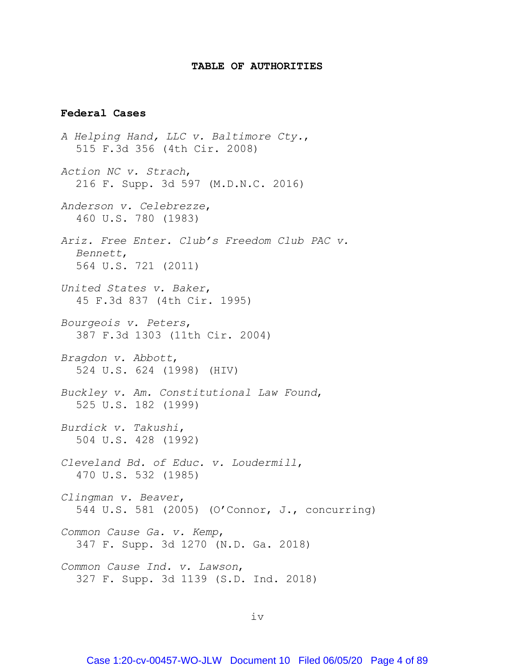### **TABLE OF AUTHORITIES**

#### <span id="page-3-0"></span>**Federal Cases**

*A Helping Hand, LLC v. Baltimore Cty.*, 515 F.3d 356 (4th Cir. 2008) *Action NC v. Strach*, 216 F. Supp. 3d 597 (M.D.N.C. 2016) *Anderson v. Celebrezze*, 460 U.S. 780 (1983) *Ariz. Free Enter. Club's Freedom Club PAC v. Bennett*, 564 U.S. 721 (2011) *United States v. Baker*, 45 F.3d 837 (4th Cir. 1995) *Bourgeois v. Peters*, 387 F.3d 1303 (11th Cir. 2004) *Bragdon v. Abbott*, 524 U.S. 624 (1998) (HIV) *Buckley v. Am. Constitutional Law Found*, 525 U.S. 182 (1999) *Burdick v. Takushi*, 504 U.S. 428 (1992) *Cleveland Bd. of Educ. v. Loudermill*, 470 U.S. 532 (1985) *Clingman v. Beaver*, 544 U.S. 581 (2005) (O'Connor, J., concurring) *Common Cause Ga. v. Kemp*, 347 F. Supp. 3d 1270 (N.D. Ga. 2018) *Common Cause Ind. v. Lawson*, 327 F. Supp. 3d 1139 (S.D. Ind. 2018)

iv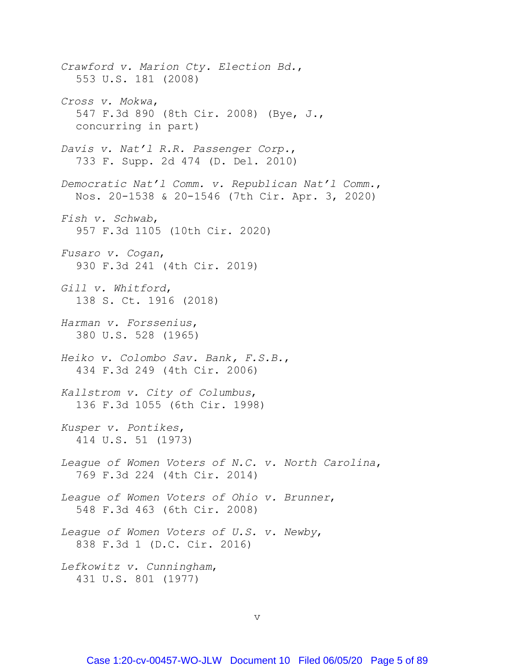*Crawford v. Marion Cty. Election Bd.*, 553 U.S. 181 (2008) *Cross v. Mokwa*, 547 F.3d 890 (8th Cir. 2008) (Bye, J., concurring in part) *Davis v. Nat'l R.R. Passenger Corp.*, 733 F. Supp. 2d 474 (D. Del. 2010) *Democratic Nat'l Comm. v. Republican Nat'l Comm.*, Nos. 20-1538 & 20-1546 (7th Cir. Apr. 3, 2020) *Fish v. Schwab*, 957 F.3d 1105 (10th Cir. 2020) *Fusaro v. Cogan*, 930 F.3d 241 (4th Cir. 2019) *Gill v. Whitford*, 138 S. Ct. 1916 (2018) *Harman v. Forssenius*, 380 U.S. 528 (1965) *Heiko v. Colombo Sav. Bank, F.S.B.*, 434 F.3d 249 (4th Cir. 2006) *Kallstrom v. City of Columbus*, 136 F.3d 1055 (6th Cir. 1998) *Kusper v. Pontikes*, 414 U.S. 51 (1973) *League of Women Voters of N.C. v. North Carolina*, 769 F.3d 224 (4th Cir. 2014) *League of Women Voters of Ohio v. Brunner*, 548 F.3d 463 (6th Cir. 2008) *League of Women Voters of U.S. v. Newby*, 838 F.3d 1 (D.C. Cir. 2016) *Lefkowitz v. Cunningham*, 431 U.S. 801 (1977)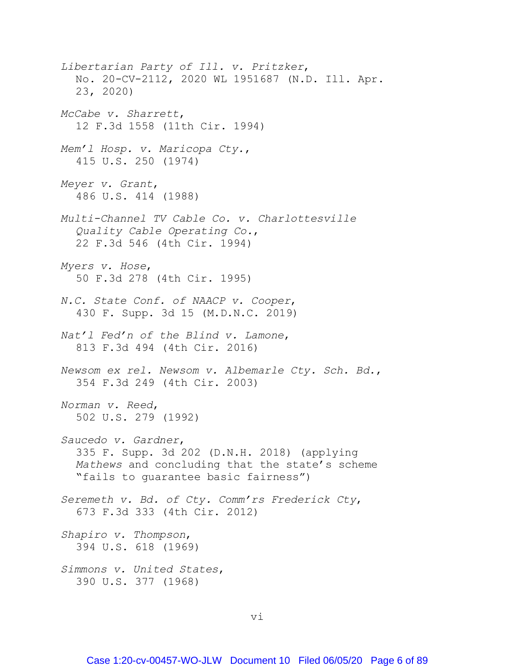*Libertarian Party of Ill. v. Pritzker*, No. 20-CV-2112, 2020 WL 1951687 (N.D. Ill. Apr. 23, 2020) *McCabe v. Sharrett*, 12 F.3d 1558 (11th Cir. 1994) *Mem'l Hosp. v. Maricopa Cty.*, 415 U.S. 250 (1974) *Meyer v. Grant*, 486 U.S. 414 (1988) *Multi-Channel TV Cable Co. v. Charlottesville Quality Cable Operating Co.*, 22 F.3d 546 (4th Cir. 1994) *Myers v. Hose*, 50 F.3d 278 (4th Cir. 1995) *N.C. State Conf. of NAACP v. Cooper*, 430 F. Supp. 3d 15 (M.D.N.C. 2019) *Nat'l Fed'n of the Blind v. Lamone*, 813 F.3d 494 (4th Cir. 2016) *Newsom ex rel. Newsom v. Albemarle Cty. Sch. Bd.*, 354 F.3d 249 (4th Cir. 2003) *Norman v. Reed*, 502 U.S. 279 (1992) *Saucedo v. Gardner*, 335 F. Supp. 3d 202 (D.N.H. 2018) (applying *Mathews* and concluding that the state's scheme "fails to guarantee basic fairness") *Seremeth v. Bd. of Cty. Comm'rs Frederick Cty*, 673 F.3d 333 (4th Cir. 2012) *Shapiro v. Thompson*, 394 U.S. 618 (1969) *Simmons v. United States*, 390 U.S. 377 (1968)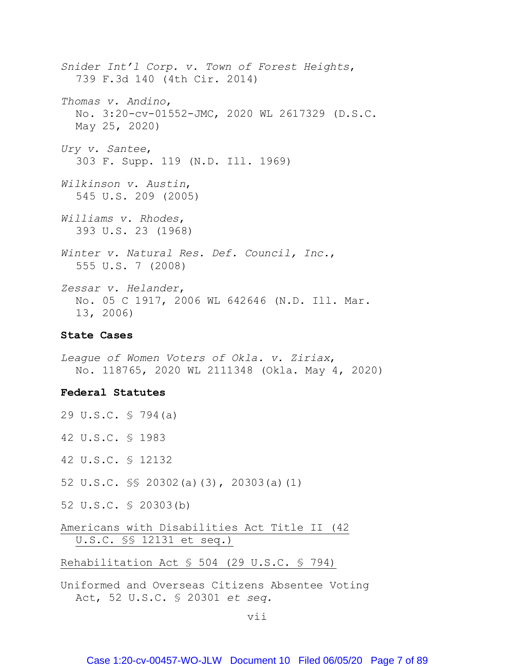*Snider Int'l Corp. v. Town of Forest Heights*, 739 F.3d 140 (4th Cir. 2014) *Thomas v. Andino*, No. 3:20-cv-01552-JMC, 2020 WL 2617329 (D.S.C. May 25, 2020) *Ury v. Santee*, 303 F. Supp. 119 (N.D. Ill. 1969) *Wilkinson v. Austin*, 545 U.S. 209 (2005) *Williams v. Rhodes*, 393 U.S. 23 (1968) *Winter v. Natural Res. Def. Council, Inc.*, 555 U.S. 7 (2008) *Zessar v. Helander*, No. 05 C 1917, 2006 WL 642646 (N.D. Ill. Mar. 13, 2006)

### **State Cases**

*League of Women Voters of Okla. v. Ziriax*, No. 118765, 2020 WL 2111348 (Okla. May 4, 2020)

### **Federal Statutes**

- 29 U.S.C. § 794(a)
- 42 U.S.C. § 1983
- 42 U.S.C. § 12132
- 52 U.S.C. §§ 20302(a)(3), 20303(a)(1)
- 52 U.S.C. § 20303(b)

Americans with Disabilities Act Title II (42 U.S.C. §§ 12131 et seq.)

Rehabilitation Act § 504 (29 U.S.C. § 794)

Uniformed and Overseas Citizens Absentee Voting Act, 52 U.S.C. § 20301 *et seq.*

#### vii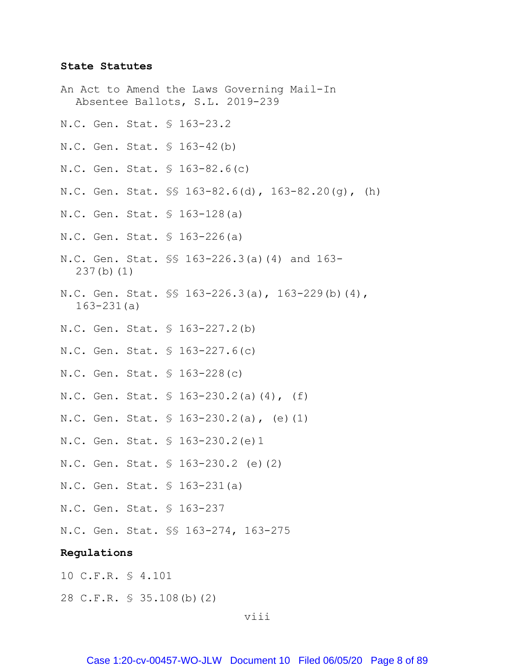#### **State Statutes**

- An Act to Amend the Laws Governing Mail-In Absentee Ballots, S.L. 2019-239
- N.C. Gen. Stat. § 163-23.2
- N.C. Gen. Stat. § 163-42(b)
- N.C. Gen. Stat. § 163-82.6(c)
- N.C. Gen. Stat. §§ 163-82.6(d), 163-82.20(g), (h)
- N.C. Gen. Stat. § 163-128(a)
- N.C. Gen. Stat. § 163-226(a)
- N.C. Gen. Stat. §§ 163-226.3(a)(4) and 163- 237(b)(1)
- N.C. Gen. Stat. §§ 163-226.3(a), 163-229(b)(4), 163-231(a)
- N.C. Gen. Stat. § 163-227.2(b)
- N.C. Gen. Stat. § 163-227.6(c)
- N.C. Gen. Stat. § 163-228(c)
- N.C. Gen. Stat. § 163-230.2(a)(4), (f)
- N.C. Gen. Stat. § 163-230.2(a), (e)(1)
- N.C. Gen. Stat. § 163-230.2(e)1
- N.C. Gen. Stat. § 163-230.2 (e)(2)
- N.C. Gen. Stat. § 163-231(a)
- N.C. Gen. Stat. § 163-237
- N.C. Gen. Stat. §§ 163-274, 163-275

### **Regulations**

- 10 C.F.R. § 4.101
- 28 C.F.R. § 35.108(b)(2)

viii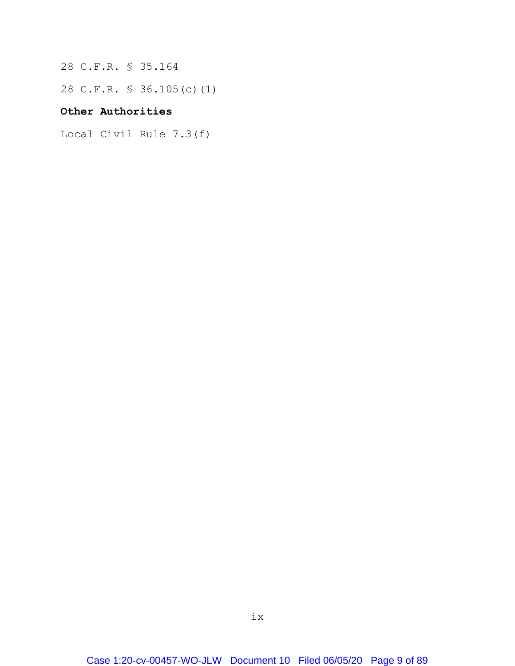28 C.F.R. § 35.164

28 C.F.R. § 36.105(c)(1)

# **Other Authorities**

Local Civil Rule 7.3(f)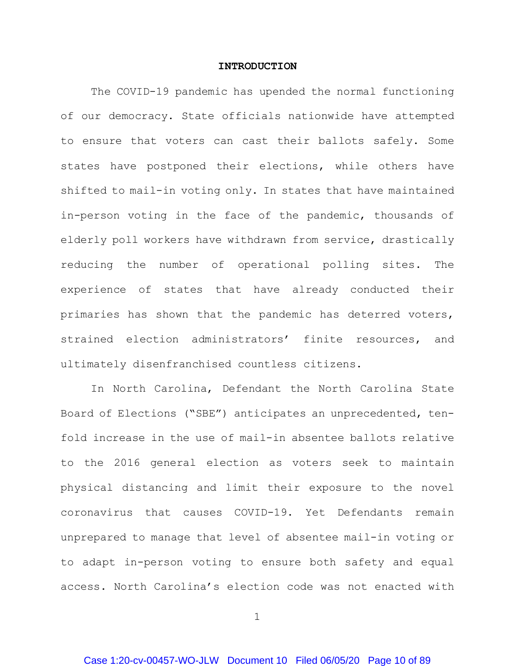#### **INTRODUCTION**

<span id="page-9-0"></span>The COVID-19 pandemic has upended the normal functioning of our democracy. State officials nationwide have attempted to ensure that voters can cast their ballots safely. Some states have postponed their elections, while others have shifted to mail-in voting only. In states that have maintained in-person voting in the face of the pandemic, thousands of elderly poll workers have withdrawn from service, drastically reducing the number of operational polling sites. The experience of states that have already conducted their primaries has shown that the pandemic has deterred voters, strained election administrators' finite resources, and ultimately disenfranchised countless citizens.

In North Carolina, Defendant the North Carolina State Board of Elections ("SBE") anticipates an unprecedented, tenfold increase in the use of mail-in absentee ballots relative to the 2016 general election as voters seek to maintain physical distancing and limit their exposure to the novel coronavirus that causes COVID-19. Yet Defendants remain unprepared to manage that level of absentee mail-in voting or to adapt in-person voting to ensure both safety and equal access. North Carolina's election code was not enacted with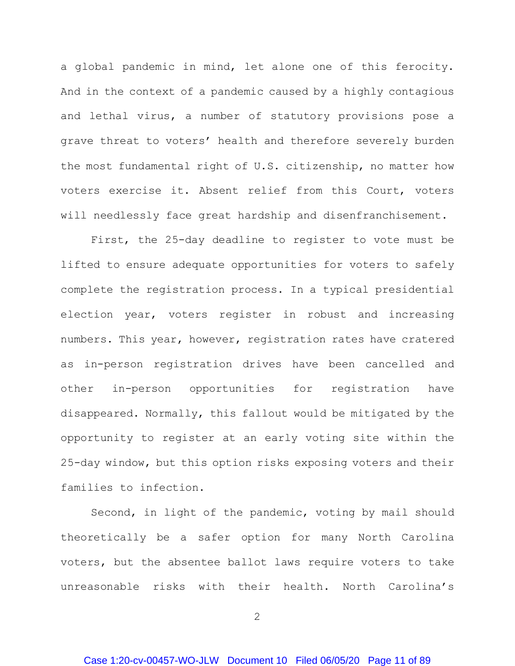a global pandemic in mind, let alone one of this ferocity. And in the context of a pandemic caused by a highly contagious and lethal virus, a number of statutory provisions pose a grave threat to voters' health and therefore severely burden the most fundamental right of U.S. citizenship, no matter how voters exercise it. Absent relief from this Court, voters will needlessly face great hardship and disenfranchisement.

First, the 25-day deadline to register to vote must be lifted to ensure adequate opportunities for voters to safely complete the registration process. In a typical presidential election year, voters register in robust and increasing numbers. This year, however, registration rates have cratered as in-person registration drives have been cancelled and other in-person opportunities for registration have disappeared. Normally, this fallout would be mitigated by the opportunity to register at an early voting site within the 25-day window, but this option risks exposing voters and their families to infection.

Second, in light of the pandemic, voting by mail should theoretically be a safer option for many North Carolina voters, but the absentee ballot laws require voters to take unreasonable risks with their health. North Carolina's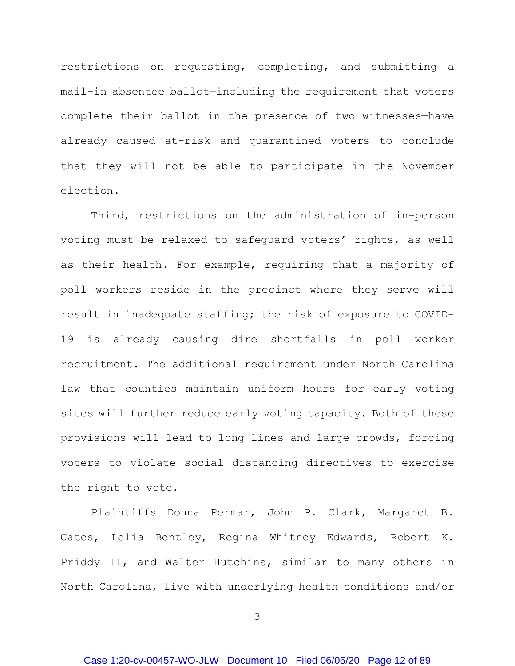restrictions on requesting, completing, and submitting a mail-in absentee ballot—including the requirement that voters complete their ballot in the presence of two witnesses—have already caused at-risk and quarantined voters to conclude that they will not be able to participate in the November election.

Third, restrictions on the administration of in-person voting must be relaxed to safeguard voters' rights, as well as their health. For example, requiring that a majority of poll workers reside in the precinct where they serve will result in inadequate staffing; the risk of exposure to COVID-19 is already causing dire shortfalls in poll worker recruitment. The additional requirement under North Carolina law that counties maintain uniform hours for early voting sites will further reduce early voting capacity. Both of these provisions will lead to long lines and large crowds, forcing voters to violate social distancing directives to exercise the right to vote.

Plaintiffs Donna Permar, John P. Clark, Margaret B. Cates, Lelia Bentley, Regina Whitney Edwards, Robert K. Priddy II, and Walter Hutchins, similar to many others in North Carolina, live with underlying health conditions and/or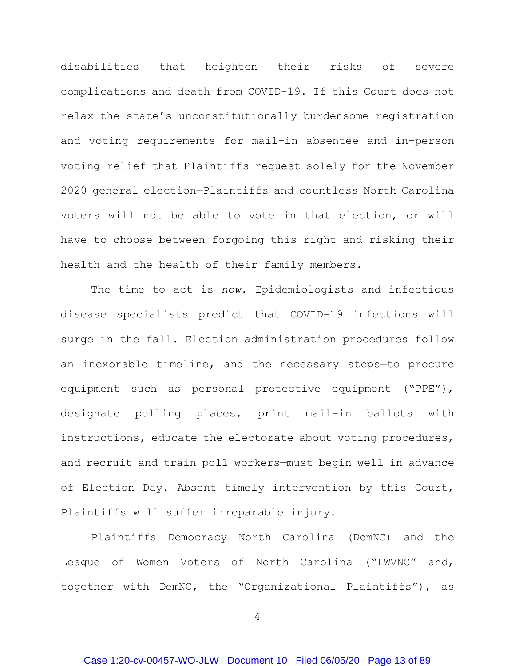disabilities that heighten their risks of severe complications and death from COVID-19. If this Court does not relax the state's unconstitutionally burdensome registration and voting requirements for mail-in absentee and in-person voting—relief that Plaintiffs request solely for the November 2020 general election—Plaintiffs and countless North Carolina voters will not be able to vote in that election, or will have to choose between forgoing this right and risking their health and the health of their family members.

The time to act is *now*. Epidemiologists and infectious disease specialists predict that COVID-19 infections will surge in the fall. Election administration procedures follow an inexorable timeline, and the necessary steps—to procure equipment such as personal protective equipment ("PPE"), designate polling places, print mail-in ballots with instructions, educate the electorate about voting procedures, and recruit and train poll workers—must begin well in advance of Election Day. Absent timely intervention by this Court, Plaintiffs will suffer irreparable injury.

Plaintiffs Democracy North Carolina (DemNC) and the League of Women Voters of North Carolina ("LWVNC" and, together with DemNC, the "Organizational Plaintiffs"), as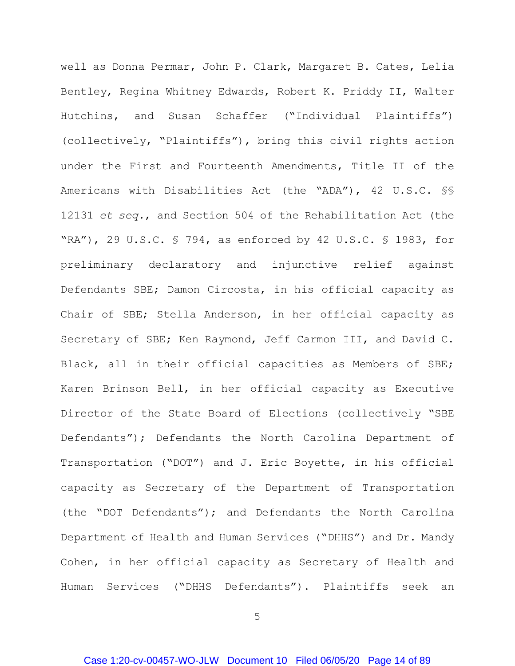well as Donna Permar, John P. Clark, Margaret B. Cates, Lelia Bentley, Regina Whitney Edwards, Robert K. Priddy II, Walter Hutchins, and Susan Schaffer ("Individual Plaintiffs") (collectively, "Plaintiffs"), bring this civil rights action under the First and Fourteenth Amendments, Title II of the Americans with Disabilities Act (the "ADA"), 42 U.S.C. §§ 12131 *et seq.*, and Section 504 of the Rehabilitation Act (the "RA"), 29 U.S.C. § 794, as enforced by 42 U.S.C. § 1983, for preliminary declaratory and injunctive relief against Defendants SBE; Damon Circosta, in his official capacity as Chair of SBE; Stella Anderson, in her official capacity as Secretary of SBE; Ken Raymond, Jeff Carmon III, and David C. Black, all in their official capacities as Members of SBE; Karen Brinson Bell, in her official capacity as Executive Director of the State Board of Elections (collectively "SBE Defendants"); Defendants the North Carolina Department of Transportation ("DOT") and J. Eric Boyette, in his official capacity as Secretary of the Department of Transportation (the "DOT Defendants"); and Defendants the North Carolina Department of Health and Human Services ("DHHS") and Dr. Mandy Cohen, in her official capacity as Secretary of Health and Human Services ("DHHS Defendants"). Plaintiffs seek an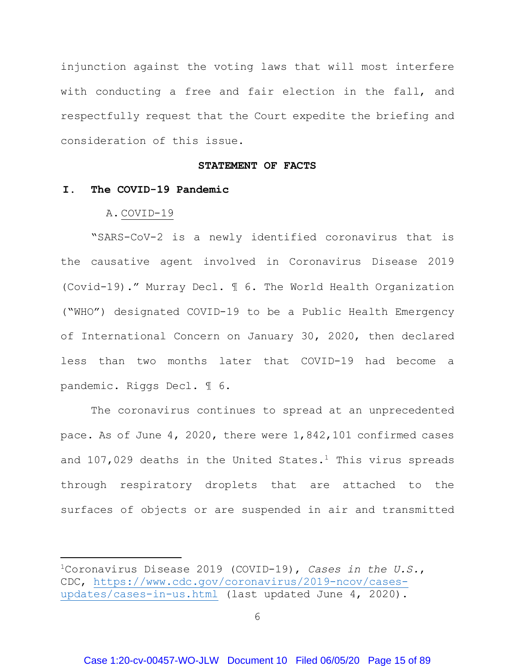injunction against the voting laws that will most interfere with conducting a free and fair election in the fall, and respectfully request that the Court expedite the briefing and consideration of this issue.

#### **STATEMENT OF FACTS**

# <span id="page-14-2"></span><span id="page-14-1"></span><span id="page-14-0"></span>**I. The COVID-19 Pandemic**

#### A. COVID-19

 $\ddot{\phantom{a}}$ 

"SARS-CoV-2 is a newly identified coronavirus that is the causative agent involved in Coronavirus Disease 2019 (Covid-19)." Murray Decl. ¶ 6. The World Health Organization ("WHO") designated COVID-19 to be a Public Health Emergency of International Concern on January 30, 2020, then declared less than two months later that COVID-19 had become a pandemic. Riggs Decl. ¶ 6.

The coronavirus continues to spread at an unprecedented pace. As of June 4, 2020, there were 1,842,101 confirmed cases and [1](#page-14-3)07,029 deaths in the United States.<sup>1</sup> This virus spreads through respiratory droplets that are attached to the surfaces of objects or are suspended in air and transmitted

<span id="page-14-3"></span><sup>1</sup>Coronavirus Disease 2019 (COVID-19), *Cases in the U.S.*, CDC, [https://www.cdc.gov/coronavirus/2019-ncov/cases](https://www.cdc.gov/coronavirus/2019-ncov/cases-updates/cases-in-us.html)[updates/cases-in-us.html](https://www.cdc.gov/coronavirus/2019-ncov/cases-updates/cases-in-us.html) (last updated June 4, 2020).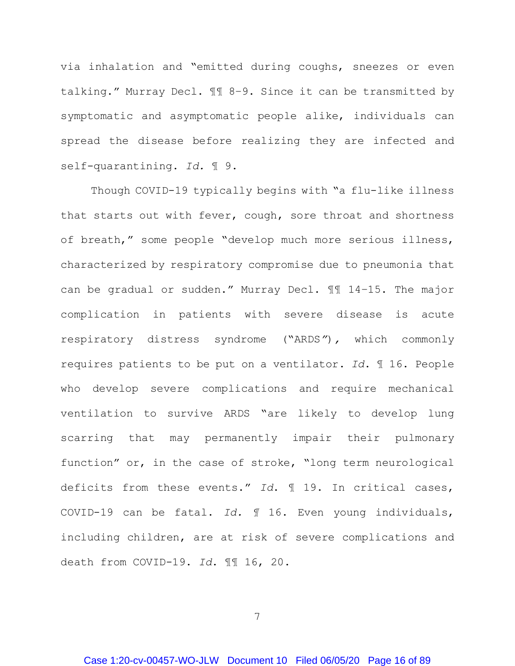via inhalation and "emitted during coughs, sneezes or even talking." Murray Decl. ¶¶ 8–9. Since it can be transmitted by symptomatic and asymptomatic people alike, individuals can spread the disease before realizing they are infected and self-quarantining. *Id.* ¶ 9.

Though COVID-19 typically begins with "a flu-like illness that starts out with fever, cough, sore throat and shortness of breath," some people "develop much more serious illness, characterized by respiratory compromise due to pneumonia that can be gradual or sudden." Murray Decl. ¶¶ 14–15. The major complication in patients with severe disease is acute respiratory distress syndrome ("ARDS*"*)*,* which commonly requires patients to be put on a ventilator. *Id*. ¶ 16. People who develop severe complications and require mechanical ventilation to survive ARDS "are likely to develop lung scarring that may permanently impair their pulmonary function" or, in the case of stroke, "long term neurological deficits from these events." *Id*. ¶ 19. In critical cases, COVID-19 can be fatal. *Id. ¶* 16. Even young individuals, including children, are at risk of severe complications and death from COVID-19. *Id*. ¶¶ 16, 20.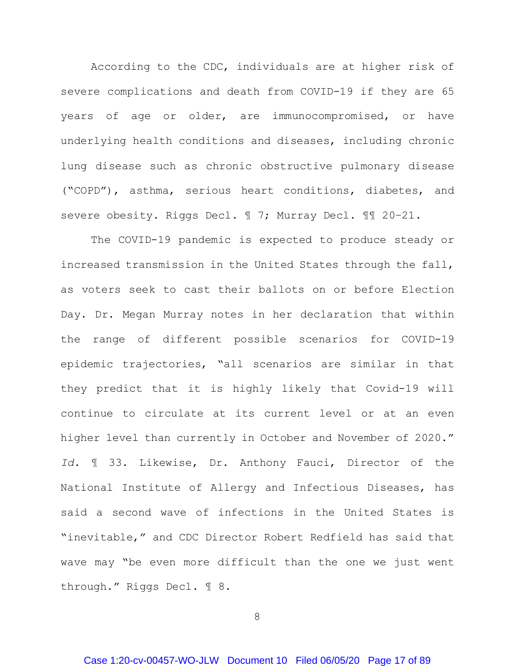According to the CDC, individuals are at higher risk of severe complications and death from COVID-19 if they are 65 years of age or older, are immunocompromised, or have underlying health conditions and diseases, including chronic lung disease such as chronic obstructive pulmonary disease ("COPD"), asthma, serious heart conditions, diabetes, and severe obesity. Riggs Decl. ¶ 7; Murray Decl. ¶¶ 20–21.

The COVID-19 pandemic is expected to produce steady or increased transmission in the United States through the fall, as voters seek to cast their ballots on or before Election Day. Dr. Megan Murray notes in her declaration that within the range of different possible scenarios for COVID-19 epidemic trajectories, "all scenarios are similar in that they predict that it is highly likely that Covid-19 will continue to circulate at its current level or at an even higher level than currently in October and November of 2020." *Id*. ¶ 33. Likewise, Dr. Anthony Fauci, Director of the National Institute of Allergy and Infectious Diseases, has said a second wave of infections in the United States is "inevitable," and CDC Director Robert Redfield has said that wave may "be even more difficult than the one we just went through." Riggs Decl. ¶ 8.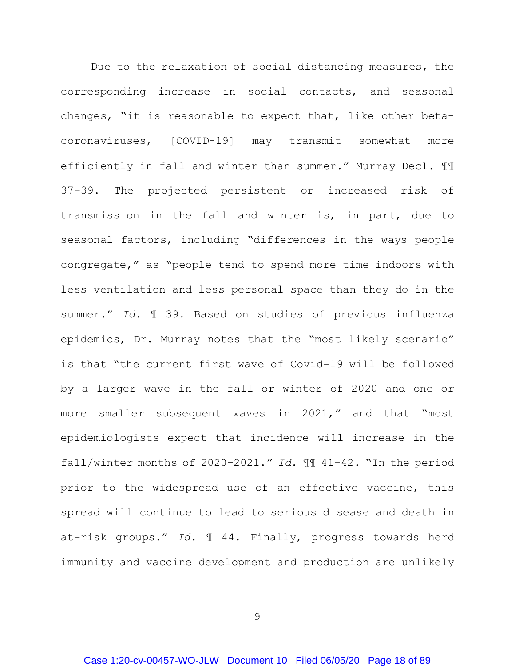Due to the relaxation of social distancing measures, the corresponding increase in social contacts, and seasonal changes, "it is reasonable to expect that, like other betacoronaviruses, [COVID-19] may transmit somewhat more efficiently in fall and winter than summer." Murray Decl. ¶¶ 37–39. The projected persistent or increased risk of transmission in the fall and winter is, in part, due to seasonal factors, including "differences in the ways people congregate," as "people tend to spend more time indoors with less ventilation and less personal space than they do in the summer." *Id*. ¶ 39. Based on studies of previous influenza epidemics, Dr. Murray notes that the "most likely scenario" is that "the current first wave of Covid-19 will be followed by a larger wave in the fall or winter of 2020 and one or more smaller subsequent waves in 2021," and that "most epidemiologists expect that incidence will increase in the fall/winter months of 2020-2021." *Id*. ¶¶ 41–42. "In the period prior to the widespread use of an effective vaccine, this spread will continue to lead to serious disease and death in at-risk groups." *Id*. ¶ 44. Finally, progress towards herd immunity and vaccine development and production are unlikely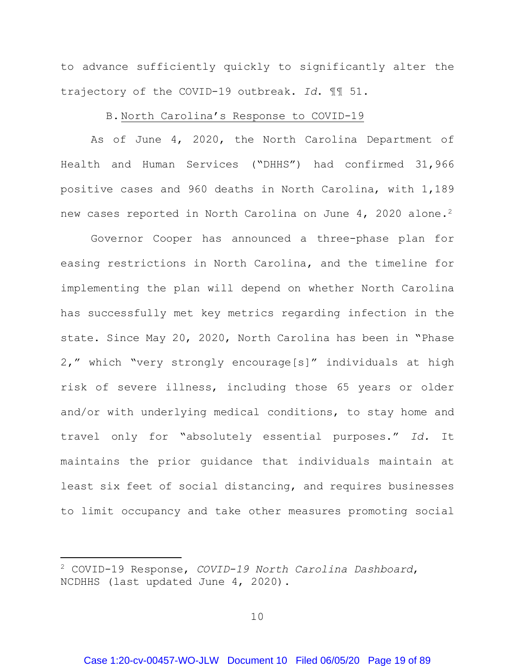to advance sufficiently quickly to significantly alter the trajectory of the COVID-19 outbreak. *Id*. ¶¶ 51.

# B. North Carolina's Response to COVID-19

<span id="page-18-0"></span>As of June 4, 2020, the North Carolina Department of Health and Human Services ("DHHS") had confirmed 31,966 positive cases and 960 deaths in North Carolina, with 1,189 new cases reported in North Carolina on June 4, [2](#page-18-1)020 alone.<sup>2</sup>

Governor Cooper has announced a three-phase plan for easing restrictions in North Carolina, and the timeline for implementing the plan will depend on whether North Carolina has successfully met key metrics regarding infection in the state. Since May 20, 2020, North Carolina has been in "Phase 2," which "very strongly encourage[s]" individuals at high risk of severe illness, including those 65 years or older and/or with underlying medical conditions, to stay home and travel only for "absolutely essential purposes." *Id.* It maintains the prior guidance that individuals maintain at least six feet of social distancing, and requires businesses to limit occupancy and take other measures promoting social

 $\ddot{\phantom{a}}$ 

<span id="page-18-1"></span><sup>2</sup> COVID-19 Response, *COVID-19 North Carolina Dashboard*, NCDHHS (last updated June 4, 2020).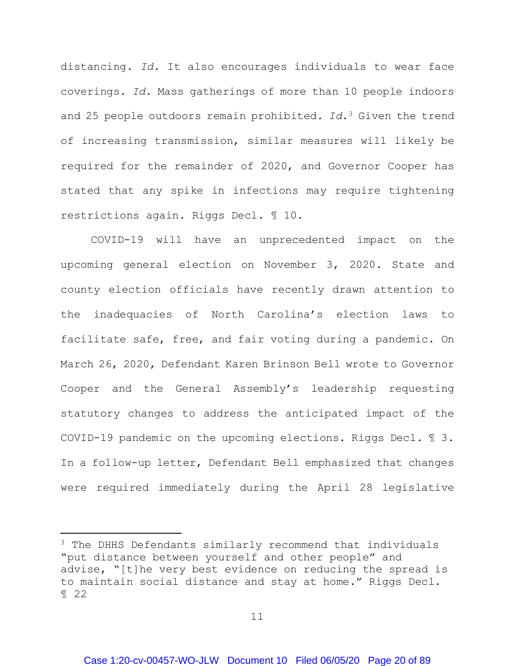distancing. *Id.* It also encourages individuals to wear face coverings. *Id.* Mass gatherings of more than 10 people indoors and 25 people outdoors remain prohibited. *Id.*[3](#page-19-0) Given the trend of increasing transmission, similar measures will likely be required for the remainder of 2020, and Governor Cooper has stated that any spike in infections may require tightening restrictions again. Riggs Decl. ¶ 10.

COVID-19 will have an unprecedented impact on the upcoming general election on November 3, 2020. State and county election officials have recently drawn attention to the inadequacies of North Carolina's election laws to facilitate safe, free, and fair voting during a pandemic. On March 26, 2020, Defendant Karen Brinson Bell wrote to Governor Cooper and the General Assembly's leadership requesting statutory changes to address the anticipated impact of the COVID-19 pandemic on the upcoming elections. Riggs Decl. ¶ 3. In a follow-up letter, Defendant Bell emphasized that changes were required immediately during the April 28 legislative

 $\overline{a}$ 

<span id="page-19-0"></span><sup>&</sup>lt;sup>3</sup> The DHHS Defendants similarly recommend that individuals "put distance between yourself and other people" and advise, "[t]he very best evidence on reducing the spread is to maintain social distance and stay at home." Riggs Decl. ¶ 22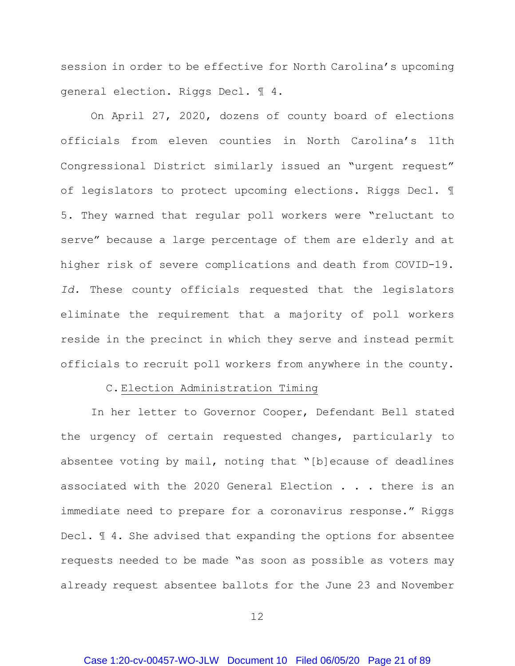session in order to be effective for North Carolina's upcoming general election. Riggs Decl. ¶ 4.

On April 27, 2020, dozens of county board of elections officials from eleven counties in North Carolina's 11th Congressional District similarly issued an "urgent request" of legislators to protect upcoming elections. Riggs Decl. ¶ 5. They warned that regular poll workers were "reluctant to serve" because a large percentage of them are elderly and at higher risk of severe complications and death from COVID-19. *Id.* These county officials requested that the legislators eliminate the requirement that a majority of poll workers reside in the precinct in which they serve and instead permit officials to recruit poll workers from anywhere in the county.

### C. Election Administration Timing

<span id="page-20-0"></span>In her letter to Governor Cooper, Defendant Bell stated the urgency of certain requested changes, particularly to absentee voting by mail, noting that "[b]ecause of deadlines associated with the 2020 General Election . . . there is an immediate need to prepare for a coronavirus response." Riggs Decl. ¶ 4. She advised that expanding the options for absentee requests needed to be made "as soon as possible as voters may already request absentee ballots for the June 23 and November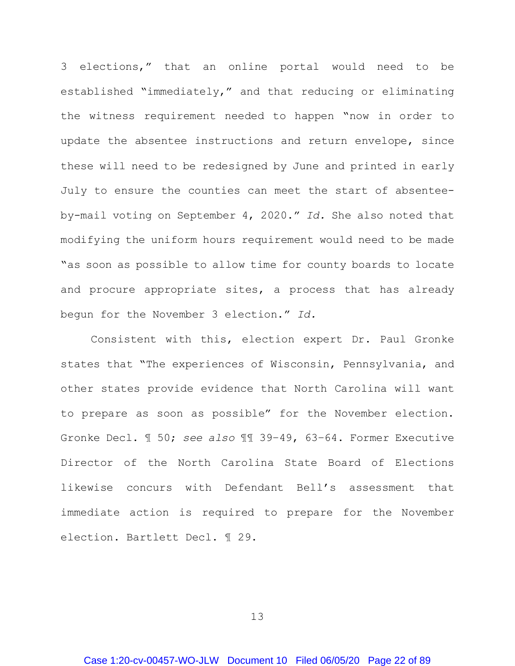3 elections," that an online portal would need to be established "immediately," and that reducing or eliminating the witness requirement needed to happen "now in order to update the absentee instructions and return envelope, since these will need to be redesigned by June and printed in early July to ensure the counties can meet the start of absenteeby-mail voting on September 4, 2020." *Id.* She also noted that modifying the uniform hours requirement would need to be made "as soon as possible to allow time for county boards to locate and procure appropriate sites, a process that has already begun for the November 3 election." *Id.*

Consistent with this, election expert Dr. Paul Gronke states that "The experiences of Wisconsin, Pennsylvania, and other states provide evidence that North Carolina will want to prepare as soon as possible" for the November election. Gronke Decl. ¶ 50; *see also* ¶¶ 39–49, 63–64. Former Executive Director of the North Carolina State Board of Elections likewise concurs with Defendant Bell's assessment that immediate action is required to prepare for the November election. Bartlett Decl. ¶ 29.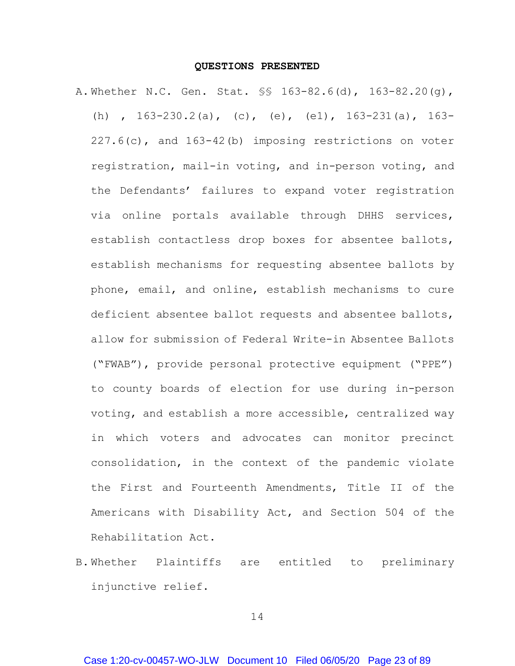#### **QUESTIONS PRESENTED**

<span id="page-22-0"></span>A. Whether N.C. Gen. Stat. §§ 163-82.6(d), 163-82.20(g), (h) , 163-230.2(a), (c), (e), (e1), 163-231(a), 163- 227.6(c), and 163-42(b) imposing restrictions on voter registration, mail-in voting, and in-person voting, and the Defendants' failures to expand voter registration via online portals available through DHHS services, establish contactless drop boxes for absentee ballots, establish mechanisms for requesting absentee ballots by phone, email, and online, establish mechanisms to cure deficient absentee ballot requests and absentee ballots, allow for submission of Federal Write-in Absentee Ballots ("FWAB"), provide personal protective equipment ("PPE") to county boards of election for use during in-person voting, and establish a more accessible, centralized way in which voters and advocates can monitor precinct consolidation, in the context of the pandemic violate the First and Fourteenth Amendments, Title II of the Americans with Disability Act, and Section 504 of the Rehabilitation Act.

B. Whether Plaintiffs are entitled to preliminary injunctive relief.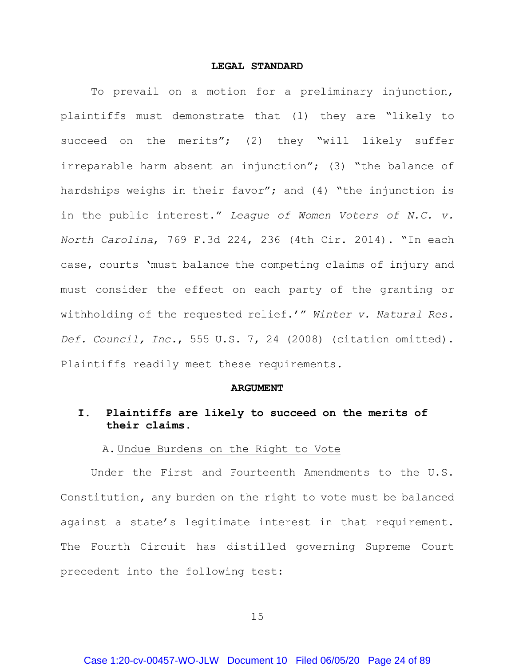#### **LEGAL STANDARD**

<span id="page-23-0"></span>To prevail on a motion for a preliminary injunction, plaintiffs must demonstrate that (1) they are "likely to succeed on the merits"; (2) they "will likely suffer irreparable harm absent an injunction"; (3) "the balance of hardships weighs in their favor"; and (4) "the injunction is in the public interest." *League of Women Voters of N.C. v. North Carolina*, 769 F.3d 224, 236 (4th Cir. 2014). "In each case, courts 'must balance the competing claims of injury and must consider the effect on each party of the granting or withholding of the requested relief.'" *Winter v. Natural Res. Def. Council, Inc.*, 555 U.S. 7, 24 (2008) (citation omitted). Plaintiffs readily meet these requirements.

#### **ARGUMENT**

# <span id="page-23-2"></span><span id="page-23-1"></span>**I. Plaintiffs are likely to succeed on the merits of their claims.**

## A. Undue Burdens on the Right to Vote

<span id="page-23-3"></span>Under the First and Fourteenth Amendments to the U.S. Constitution, any burden on the right to vote must be balanced against a state's legitimate interest in that requirement. The Fourth Circuit has distilled governing Supreme Court precedent into the following test: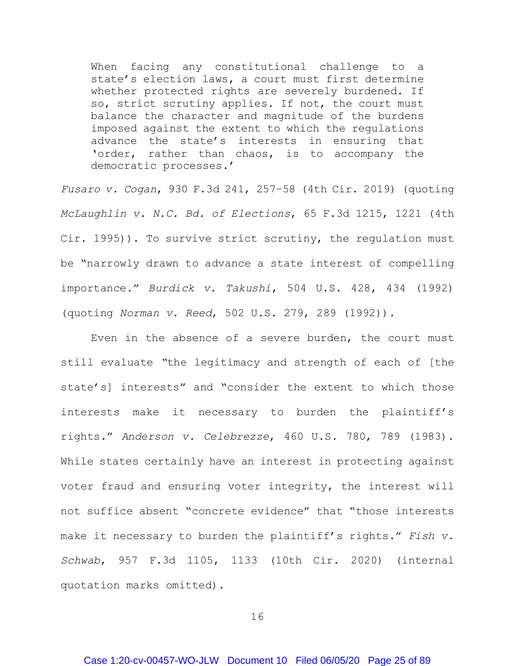When facing any constitutional challenge to a state's election laws, a court must first determine whether protected rights are severely burdened. If so, strict scrutiny applies. If not, the court must balance the character and magnitude of the burdens imposed against the extent to which the regulations advance the state's interests in ensuring that 'order, rather than chaos, is to accompany the democratic processes.'

*Fusaro v. Cogan*, 930 F.3d 241, 257–58 (4th Cir. 2019) (quoting *McLaughlin v. N.C. Bd. of Elections*, 65 F.3d 1215, 1221 (4th Cir. 1995)). To survive strict scrutiny, the regulation must be "narrowly drawn to advance a state interest of compelling importance." *Burdick v. Takushi*, 504 U.S. 428, 434 (1992) (quoting *Norman v. Reed*, 502 U.S. 279, 289 (1992)).

Even in the absence of a severe burden, the court must still evaluate *"*the legitimacy and strength of each of [the state's] interests" and "consider the extent to which those interests make it necessary to burden the plaintiff's rights." *Anderson v. Celebrezze*, 460 U.S. 780, 789 (1983). While states certainly have an interest in protecting against voter fraud and ensuring voter integrity, the interest will not suffice absent "concrete evidence" that "those interests make it necessary to burden the plaintiff's rights." *Fish v. Schwab*, 957 F.3d 1105, 1133 (10th Cir. 2020) (internal quotation marks omitted).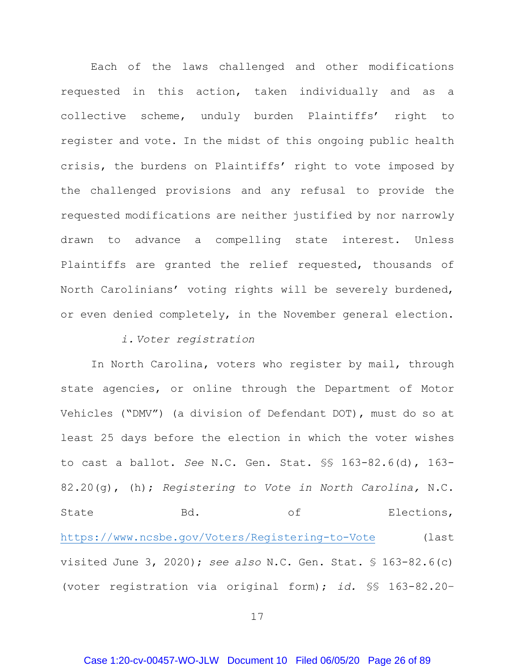Each of the laws challenged and other modifications requested in this action, taken individually and as a collective scheme, unduly burden Plaintiffs' right to register and vote. In the midst of this ongoing public health crisis, the burdens on Plaintiffs' right to vote imposed by the challenged provisions and any refusal to provide the requested modifications are neither justified by nor narrowly drawn to advance a compelling state interest. Unless Plaintiffs are granted the relief requested, thousands of North Carolinians' voting rights will be severely burdened, or even denied completely, in the November general election.

# *i. Voter registration*

<span id="page-25-0"></span>In North Carolina, voters who register by mail, through state agencies, or online through the Department of Motor Vehicles ("DMV") (a division of Defendant DOT), must do so at least 25 days before the election in which the voter wishes to cast a ballot. *See* N.C. Gen. Stat. §§ 163-82.6(d), 163- 82.20(g), (h); *Registering to Vote in North Carolina,* N.C. State Bd. Bol. The Business Base of Elections, <https://www.ncsbe.gov/Voters/Registering-to-Vote> (last visited June 3, 2020); *see also* N.C. Gen. Stat. § 163-82.6(c) (voter registration via original form); *id.* §§ 163-82.20–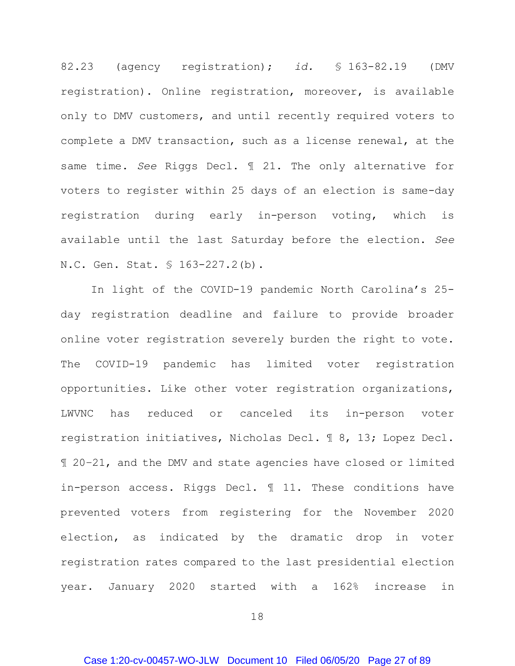82.23 (agency registration); *id.* § 163-82.19 (DMV registration). Online registration, moreover, is available only to DMV customers, and until recently required voters to complete a DMV transaction, such as a license renewal, at the same time. *See* Riggs Decl. ¶ 21. The only alternative for voters to register within 25 days of an election is same-day registration during early in-person voting, which is available until the last Saturday before the election. *See*  N.C. Gen. Stat. § 163-227.2(b).

In light of the COVID-19 pandemic North Carolina's 25 day registration deadline and failure to provide broader online voter registration severely burden the right to vote. The COVID-19 pandemic has limited voter registration opportunities. Like other voter registration organizations, LWVNC has reduced or canceled its in-person voter registration initiatives, Nicholas Decl. ¶ 8, 13; Lopez Decl. ¶ 20–21, and the DMV and state agencies have closed or limited in-person access. Riggs Decl. ¶ 11. These conditions have prevented voters from registering for the November 2020 election, as indicated by the dramatic drop in voter registration rates compared to the last presidential election year. January 2020 started with a 162% increase in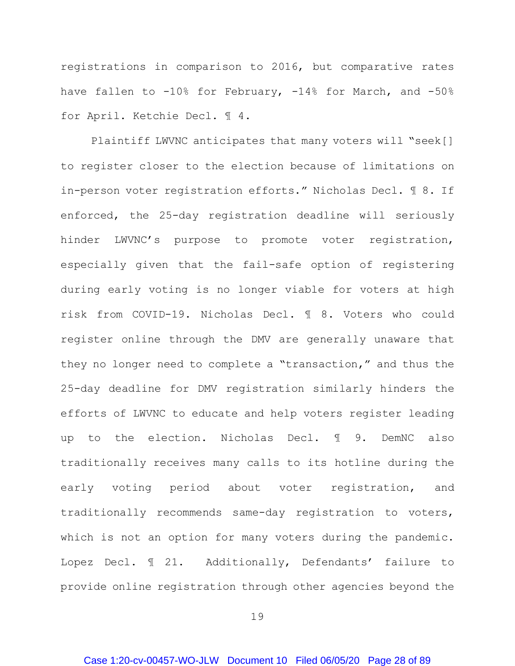registrations in comparison to 2016, but comparative rates have fallen to -10% for February, -14% for March, and -50% for April. Ketchie Decl. ¶ 4.

Plaintiff LWVNC anticipates that many voters will "seek[] to register closer to the election because of limitations on in-person voter registration efforts." Nicholas Decl. ¶ 8. If enforced, the 25-day registration deadline will seriously hinder LWVNC's purpose to promote voter registration, especially given that the fail-safe option of registering during early voting is no longer viable for voters at high risk from COVID-19. Nicholas Decl. ¶ 8. Voters who could register online through the DMV are generally unaware that they no longer need to complete a "transaction," and thus the 25-day deadline for DMV registration similarly hinders the efforts of LWVNC to educate and help voters register leading up to the election. Nicholas Decl. ¶ 9. DemNC also traditionally receives many calls to its hotline during the early voting period about voter registration, and traditionally recommends same-day registration to voters, which is not an option for many voters during the pandemic. Lopez Decl. ¶ 21. Additionally, Defendants' failure to provide online registration through other agencies beyond the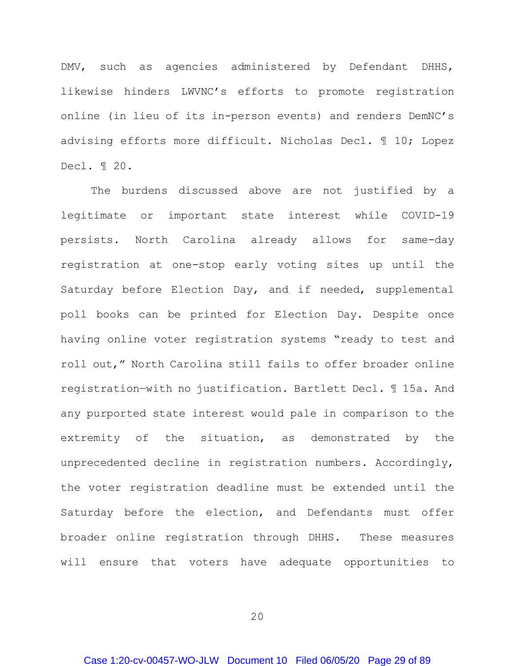DMV, such as agencies administered by Defendant DHHS, likewise hinders LWVNC's efforts to promote registration online (in lieu of its in-person events) and renders DemNC's advising efforts more difficult. Nicholas Decl. ¶ 10; Lopez Decl. ¶ 20.

The burdens discussed above are not justified by a legitimate or important state interest while COVID-19 persists. North Carolina already allows for same-day registration at one-stop early voting sites up until the Saturday before Election Day, and if needed, supplemental poll books can be printed for Election Day. Despite once having online voter registration systems "ready to test and roll out," North Carolina still fails to offer broader online registration—with no justification. Bartlett Decl. ¶ 15a. And any purported state interest would pale in comparison to the extremity of the situation, as demonstrated by the unprecedented decline in registration numbers. Accordingly, the voter registration deadline must be extended until the Saturday before the election, and Defendants must offer broader online registration through DHHS. These measures will ensure that voters have adequate opportunities to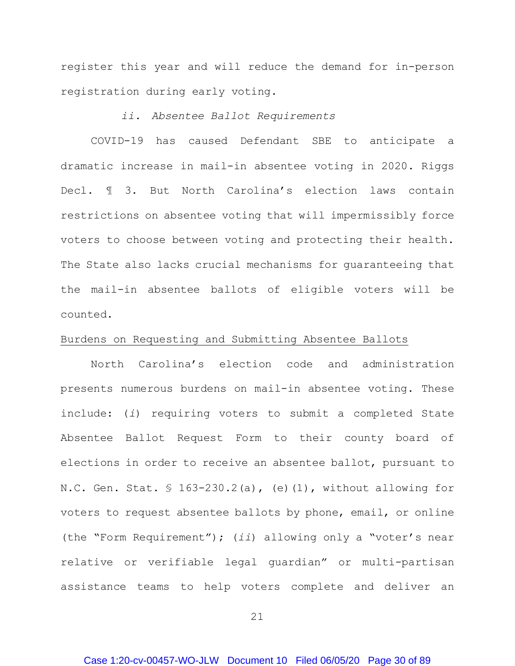register this year and will reduce the demand for in-person registration during early voting.

# *ii. Absentee Ballot Requirements*

<span id="page-29-0"></span>COVID-19 has caused Defendant SBE to anticipate a dramatic increase in mail-in absentee voting in 2020. Riggs Decl. ¶ 3. But North Carolina's election laws contain restrictions on absentee voting that will impermissibly force voters to choose between voting and protecting their health. The State also lacks crucial mechanisms for guaranteeing that the mail-in absentee ballots of eligible voters will be counted.

#### Burdens on Requesting and Submitting Absentee Ballots

North Carolina's election code and administration presents numerous burdens on mail-in absentee voting. These include: (*i*) requiring voters to submit a completed State Absentee Ballot Request Form to their county board of elections in order to receive an absentee ballot, pursuant to N.C. Gen. Stat. § 163-230.2(a), (e)(1), without allowing for voters to request absentee ballots by phone, email, or online (the "Form Requirement"); (*ii*) allowing only a "voter's near relative or verifiable legal guardian" or multi-partisan assistance teams to help voters complete and deliver an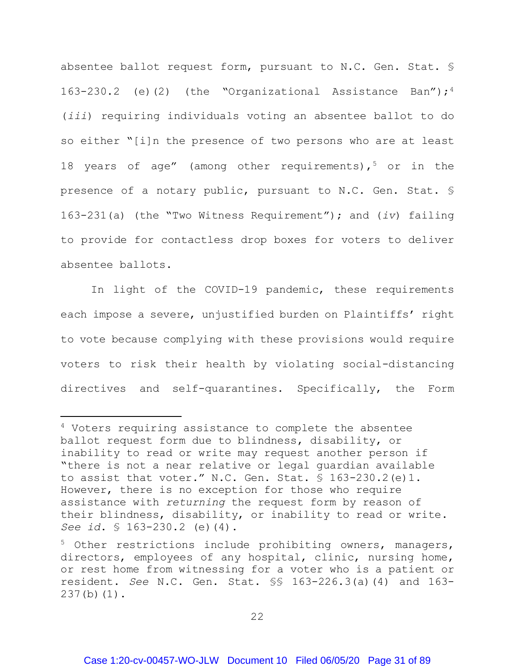absentee ballot request form, pursuant to N.C. Gen. Stat. § 163-230.2 (e)(2) (the "Organizational Assistance Ban");<sup>[4](#page-30-0)</sup> (*iii*) requiring individuals voting an absentee ballot to do so either "[i]n the presence of two persons who are at least 18 years of age" (among other requirements),  $5$  or in the presence of a notary public, pursuant to N.C. Gen. Stat. § 163-231(a) (the "Two Witness Requirement"); and (*iv*) failing to provide for contactless drop boxes for voters to deliver absentee ballots.

In light of the COVID-19 pandemic, these requirements each impose a severe, unjustified burden on Plaintiffs' right to vote because complying with these provisions would require voters to risk their health by violating social-distancing directives and self-quarantines. Specifically, the Form

 $\ddot{\phantom{a}}$ 

<span id="page-30-0"></span><sup>&</sup>lt;sup>4</sup> Voters requiring assistance to complete the absentee ballot request form due to blindness, disability, or inability to read or write may request another person if "there is not a near relative or legal guardian available to assist that voter." N.C. Gen. Stat. § 163-230.2(e)1. However, there is no exception for those who require assistance with *returning* the request form by reason of their blindness, disability, or inability to read or write. *See id*. § 163-230.2 (e)(4).

<span id="page-30-1"></span><sup>&</sup>lt;sup>5</sup> Other restrictions include prohibiting owners, managers, directors, employees of any hospital, clinic, nursing home, or rest home from witnessing for a voter who is a patient or resident. *See* N.C. Gen. Stat. §§ 163-226.3(a)(4) and 163- 237(b)(1).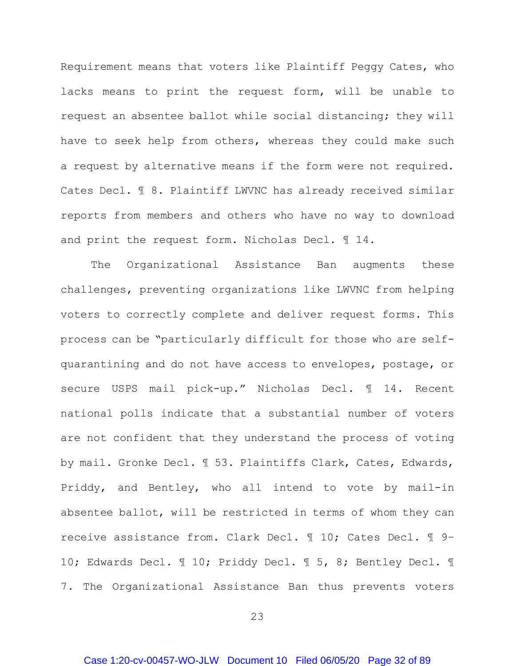Requirement means that voters like Plaintiff Peggy Cates, who lacks means to print the request form, will be unable to request an absentee ballot while social distancing; they will have to seek help from others, whereas they could make such a request by alternative means if the form were not required. Cates Decl. ¶ 8. Plaintiff LWVNC has already received similar reports from members and others who have no way to download and print the request form. Nicholas Decl. ¶ 14.

The Organizational Assistance Ban augments these challenges, preventing organizations like LWVNC from helping voters to correctly complete and deliver request forms. This process can be "particularly difficult for those who are selfquarantining and do not have access to envelopes, postage, or secure USPS mail pick-up." Nicholas Decl. ¶ 14. Recent national polls indicate that a substantial number of voters are not confident that they understand the process of voting by mail. Gronke Decl. ¶ 53. Plaintiffs Clark, Cates, Edwards, Priddy, and Bentley, who all intend to vote by mail-in absentee ballot, will be restricted in terms of whom they can receive assistance from. Clark Decl. ¶ 10; Cates Decl. ¶ 9– 10; Edwards Decl. ¶ 10; Priddy Decl. ¶ 5, 8; Bentley Decl. ¶ 7. The Organizational Assistance Ban thus prevents voters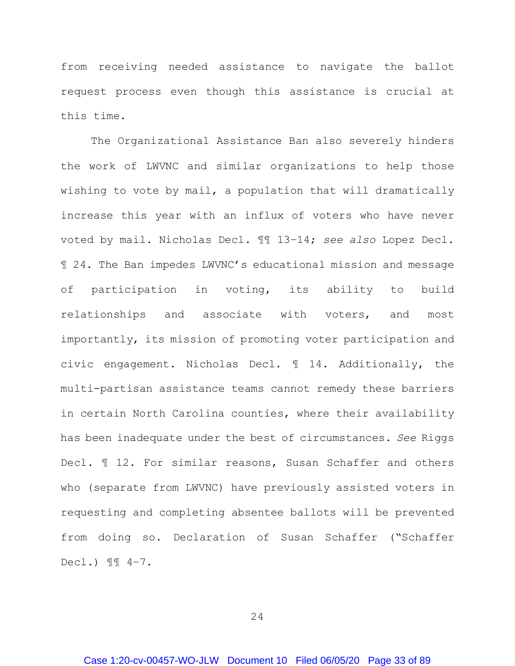from receiving needed assistance to navigate the ballot request process even though this assistance is crucial at this time.

The Organizational Assistance Ban also severely hinders the work of LWVNC and similar organizations to help those wishing to vote by mail, a population that will dramatically increase this year with an influx of voters who have never voted by mail. Nicholas Decl. ¶¶ 13–14; *see also* Lopez Decl. ¶ 24. The Ban impedes LWVNC's educational mission and message of participation in voting, its ability to build relationships and associate with voters, and most importantly, its mission of promoting voter participation and civic engagement. Nicholas Decl. ¶ 14. Additionally, the multi-partisan assistance teams cannot remedy these barriers in certain North Carolina counties, where their availability has been inadequate under the best of circumstances. *See* Riggs Decl. ¶ 12. For similar reasons, Susan Schaffer and others who (separate from LWVNC) have previously assisted voters in requesting and completing absentee ballots will be prevented from doing so. Declaration of Susan Schaffer ("Schaffer Decl.) ¶¶ 4–7.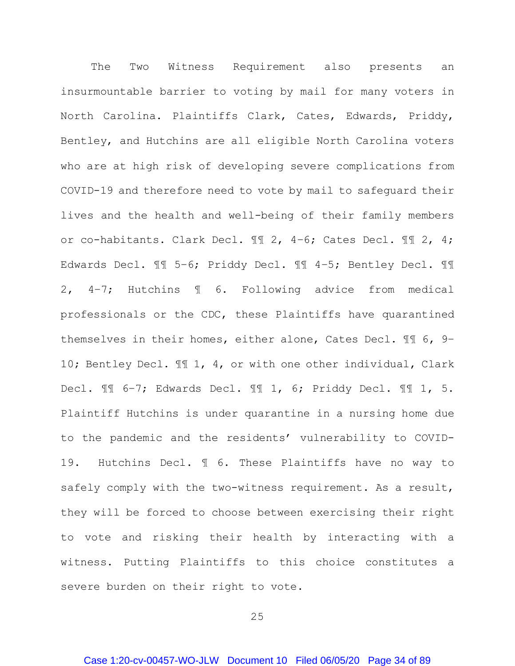The Two Witness Requirement also presents an insurmountable barrier to voting by mail for many voters in North Carolina. Plaintiffs Clark, Cates, Edwards, Priddy, Bentley, and Hutchins are all eligible North Carolina voters who are at high risk of developing severe complications from COVID-19 and therefore need to vote by mail to safeguard their lives and the health and well-being of their family members or co-habitants. Clark Decl. ¶¶ 2, 4–6; Cates Decl. ¶¶ 2, 4; Edwards Decl. ¶¶ 5–6; Priddy Decl. ¶¶ 4–5; Bentley Decl. ¶¶ 2, 4–7; Hutchins ¶ 6. Following advice from medical professionals or the CDC, these Plaintiffs have quarantined themselves in their homes, either alone, Cates Decl. ¶¶ 6, 9– 10; Bentley Decl. ¶¶ 1, 4, or with one other individual, Clark Decl. ¶¶ 6–7; Edwards Decl. ¶¶ 1, 6; Priddy Decl. ¶¶ 1, 5. Plaintiff Hutchins is under quarantine in a nursing home due to the pandemic and the residents' vulnerability to COVID-19. Hutchins Decl. ¶ 6. These Plaintiffs have no way to safely comply with the two-witness requirement. As a result, they will be forced to choose between exercising their right to vote and risking their health by interacting with a witness. Putting Plaintiffs to this choice constitutes a severe burden on their right to vote.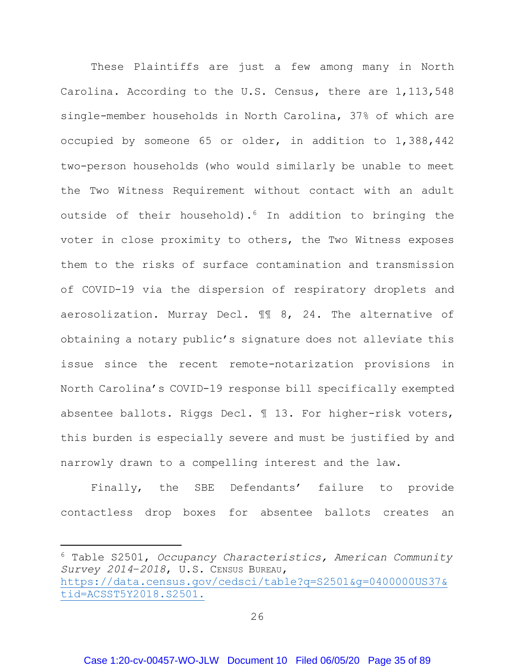These Plaintiffs are just a few among many in North Carolina. According to the U.S. Census, there are 1,113,548 single-member households in North Carolina, 37% of which are occupied by someone 65 or older, in addition to 1,388,442 two-person households (who would similarly be unable to meet the Two Witness Requirement without contact with an adult outside of their household)[.6](#page-34-0) In addition to bringing the voter in close proximity to others, the Two Witness exposes them to the risks of surface contamination and transmission of COVID-19 via the dispersion of respiratory droplets and aerosolization. Murray Decl. ¶¶ 8, 24. The alternative of obtaining a notary public's signature does not alleviate this issue since the recent remote-notarization provisions in North Carolina's COVID-19 response bill specifically exempted absentee ballots. Riggs Decl. ¶ 13. For higher-risk voters, this burden is especially severe and must be justified by and narrowly drawn to a compelling interest and the law.

Finally, the SBE Defendants' failure to provide contactless drop boxes for absentee ballots creates an

 $\overline{a}$ 

<span id="page-34-0"></span><sup>6</sup> Table S2501, *Occupancy Characteristics, American Community Survey 2014*–*2018*, U.S. CENSUS BUREAU, [https://data.census.gov/cedsci/table?q=S2501&g=0400000US37&](https://data.census.gov/cedsci/table?q=S2501&g=0400000US37&tid=ACSST5Y2018.S2501) [tid=ACSST5Y2018.S2501.](https://data.census.gov/cedsci/table?q=S2501&g=0400000US37&tid=ACSST5Y2018.S2501)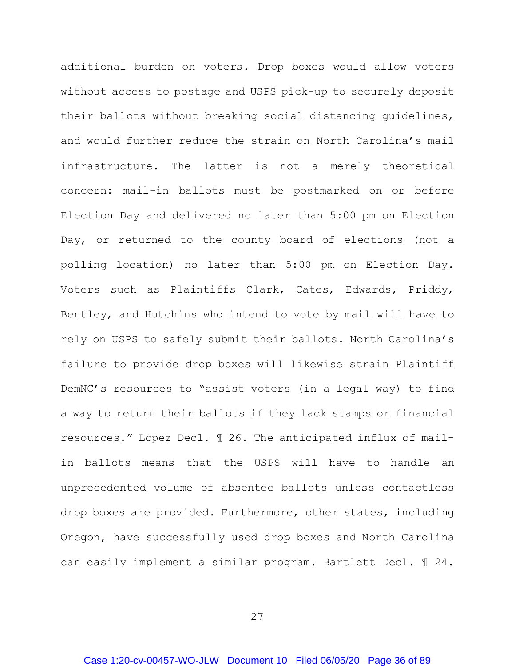additional burden on voters. Drop boxes would allow voters without access to postage and USPS pick-up to securely deposit their ballots without breaking social distancing guidelines, and would further reduce the strain on North Carolina's mail infrastructure. The latter is not a merely theoretical concern: mail-in ballots must be postmarked on or before Election Day and delivered no later than 5:00 pm on Election Day, or returned to the county board of elections (not a polling location) no later than 5:00 pm on Election Day. Voters such as Plaintiffs Clark, Cates, Edwards, Priddy, Bentley, and Hutchins who intend to vote by mail will have to rely on USPS to safely submit their ballots. North Carolina's failure to provide drop boxes will likewise strain Plaintiff DemNC's resources to "assist voters (in a legal way) to find a way to return their ballots if they lack stamps or financial resources." Lopez Decl. ¶ 26. The anticipated influx of mailin ballots means that the USPS will have to handle an unprecedented volume of absentee ballots unless contactless drop boxes are provided. Furthermore, other states, including Oregon, have successfully used drop boxes and North Carolina can easily implement a similar program. Bartlett Decl. ¶ 24.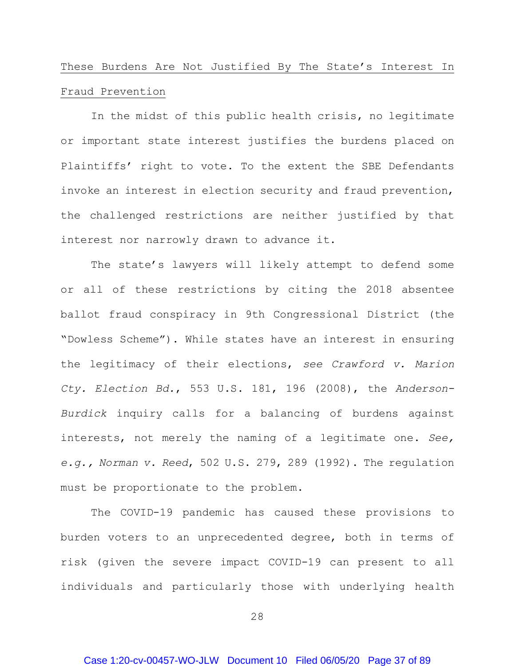# <span id="page-36-0"></span>These Burdens Are Not Justified By The State's Interest In Fraud Prevention

In the midst of this public health crisis, no legitimate or important state interest justifies the burdens placed on Plaintiffs' right to vote. To the extent the SBE Defendants invoke an interest in election security and fraud prevention, the challenged restrictions are neither justified by that interest nor narrowly drawn to advance it.

The state's lawyers will likely attempt to defend some or all of these restrictions by citing the 2018 absentee ballot fraud conspiracy in 9th Congressional District (the "Dowless Scheme"). While states have an interest in ensuring the legitimacy of their elections, *see Crawford v. Marion Cty. Election Bd.*, 553 U.S. 181, 196 (2008), the *Anderson-Burdick* inquiry calls for a balancing of burdens against interests, not merely the naming of a legitimate one. *See, e.g., Norman v. Reed*, 502 U.S. 279, 289 (1992). The regulation must be proportionate to the problem.

The COVID-19 pandemic has caused these provisions to burden voters to an unprecedented degree, both in terms of risk (given the severe impact COVID-19 can present to all individuals and particularly those with underlying health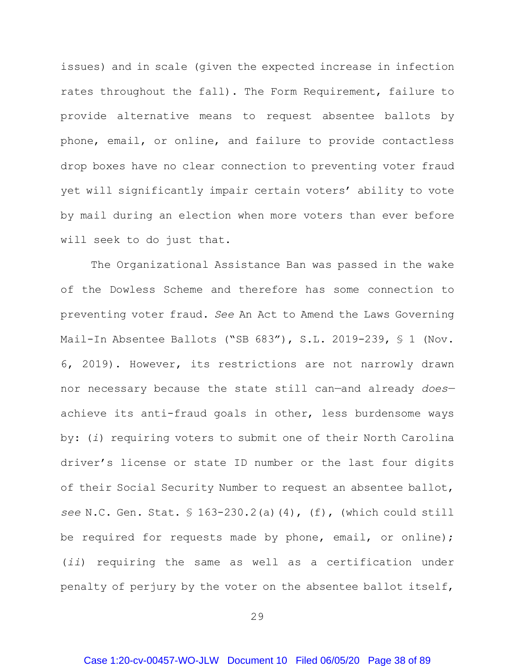issues) and in scale (given the expected increase in infection rates throughout the fall). The Form Requirement, failure to provide alternative means to request absentee ballots by phone, email, or online, and failure to provide contactless drop boxes have no clear connection to preventing voter fraud yet will significantly impair certain voters' ability to vote by mail during an election when more voters than ever before will seek to do just that.

The Organizational Assistance Ban was passed in the wake of the Dowless Scheme and therefore has some connection to preventing voter fraud. *See* An Act to Amend the Laws Governing Mail-In Absentee Ballots ("SB 683"), S.L. 2019-239, § 1 (Nov. 6, 2019). However, its restrictions are not narrowly drawn nor necessary because the state still can—and already *does* achieve its anti-fraud goals in other, less burdensome ways by: (*i*) requiring voters to submit one of their North Carolina driver's license or state ID number or the last four digits of their Social Security Number to request an absentee ballot, *see* N.C. Gen. Stat. § 163-230.2(a)(4), (f), (which could still be required for requests made by phone, email, or online); (*ii*) requiring the same as well as a certification under penalty of perjury by the voter on the absentee ballot itself,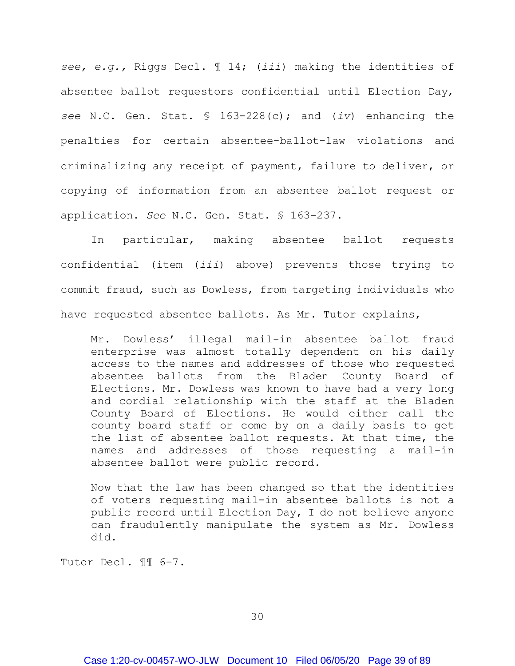*see, e.g.,* Riggs Decl. ¶ 14; (*iii*) making the identities of absentee ballot requestors confidential until Election Day, *see* N.C. Gen. Stat. § 163-228(c); and (*iv*) enhancing the penalties for certain absentee-ballot-law violations and criminalizing any receipt of payment, failure to deliver, or copying of information from an absentee ballot request or application. *See* N.C. Gen. Stat. § 163-237.

In particular, making absentee ballot requests confidential (item (*iii*) above) prevents those trying to commit fraud, such as Dowless, from targeting individuals who have requested absentee ballots. As Mr. Tutor explains,

Mr. Dowless' illegal mail-in absentee ballot fraud enterprise was almost totally dependent on his daily access to the names and addresses of those who requested absentee ballots from the Bladen County Board of Elections. Mr. Dowless was known to have had a very long and cordial relationship with the staff at the Bladen County Board of Elections. He would either call the county board staff or come by on a daily basis to get the list of absentee ballot requests. At that time, the names and addresses of those requesting a mail-in absentee ballot were public record.

Now that the law has been changed so that the identities of voters requesting mail-in absentee ballots is not a public record until Election Day, I do not believe anyone can fraudulently manipulate the system as Mr. Dowless did.

Tutor Decl. ¶¶ 6–7.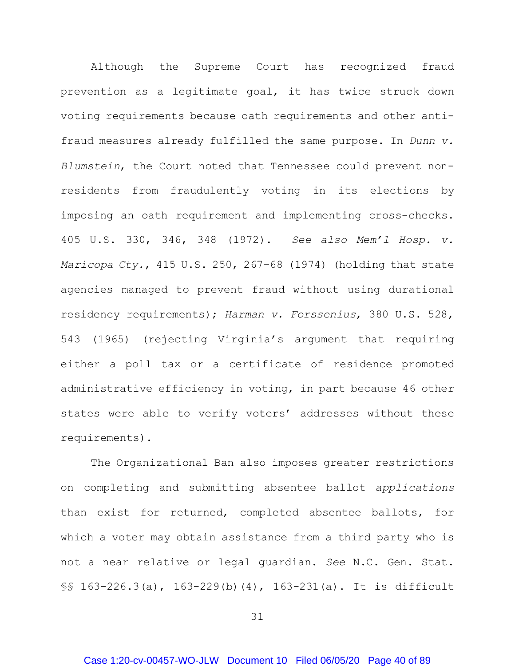Although the Supreme Court has recognized fraud prevention as a legitimate goal, it has twice struck down voting requirements because oath requirements and other antifraud measures already fulfilled the same purpose. In *Dunn v. Blumstein*, the Court noted that Tennessee could prevent nonresidents from fraudulently voting in its elections by imposing an oath requirement and implementing cross-checks. 405 U.S. 330, 346, 348 (1972). *See also Mem'l Hosp. v. Maricopa Cty.*, 415 U.S. 250, 267–68 (1974) (holding that state agencies managed to prevent fraud without using durational residency requirements); *Harman v. Forssenius*, 380 U.S. 528, 543 (1965) (rejecting Virginia's argument that requiring either a poll tax or a certificate of residence promoted administrative efficiency in voting, in part because 46 other states were able to verify voters' addresses without these requirements).

The Organizational Ban also imposes greater restrictions on completing and submitting absentee ballot *applications* than exist for returned, completed absentee ballots, for which a voter may obtain assistance from a third party who is not a near relative or legal guardian. *See* N.C. Gen. Stat. §§ 163-226.3(a), 163-229(b)(4), 163-231(a). It is difficult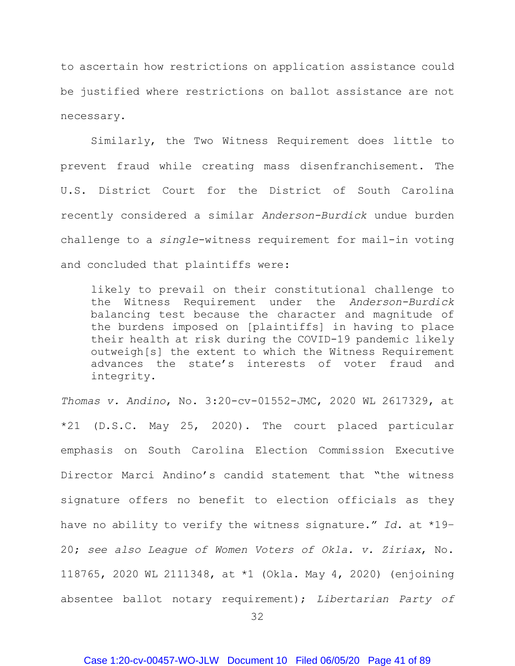to ascertain how restrictions on application assistance could be justified where restrictions on ballot assistance are not necessary.

Similarly, the Two Witness Requirement does little to prevent fraud while creating mass disenfranchisement. The U.S. District Court for the District of South Carolina recently considered a similar *Anderson-Burdick* undue burden challenge to a *single*-witness requirement for mail-in voting and concluded that plaintiffs were:

likely to prevail on their constitutional challenge to the Witness Requirement under the *Anderson-Burdick* balancing test because the character and magnitude of the burdens imposed on [plaintiffs] in having to place their health at risk during the COVID-19 pandemic likely outweigh[s] the extent to which the Witness Requirement advances the state's interests of voter fraud and integrity.

*Thomas v. Andino*, No. 3:20-cv-01552-JMC, 2020 WL 2617329, at \*21 (D.S.C. May 25, 2020). The court placed particular emphasis on South Carolina Election Commission Executive Director Marci Andino's candid statement that "the witness signature offers no benefit to election officials as they have no ability to verify the witness signature." *Id*. at \*19– 20; *see also League of Women Voters of Okla. v. Ziriax*, No. 118765, 2020 WL 2111348, at \*1 (Okla. May 4, 2020) (enjoining absentee ballot notary requirement); *Libertarian Party of*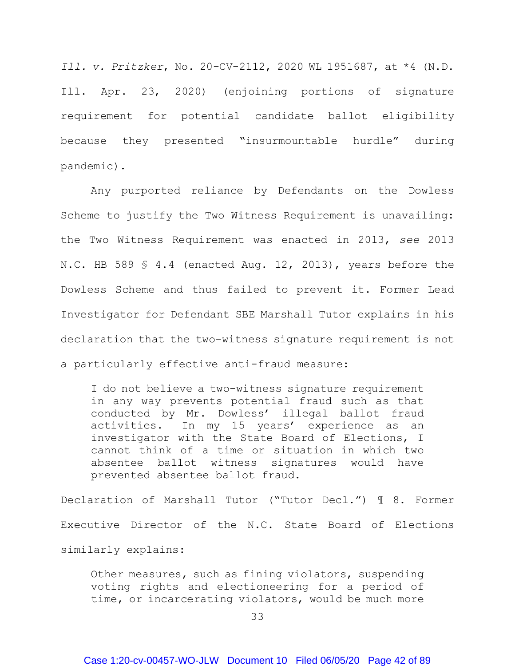*Ill. v. Pritzker*, No. 20-CV-2112, 2020 WL 1951687, at \*4 (N.D. Ill. Apr. 23, 2020) (enjoining portions of signature requirement for potential candidate ballot eligibility because they presented "insurmountable hurdle" during pandemic).

Any purported reliance by Defendants on the Dowless Scheme to justify the Two Witness Requirement is unavailing: the Two Witness Requirement was enacted in 2013, *see* 2013 N.C. HB 589 § 4.4 (enacted Aug. 12, 2013), years before the Dowless Scheme and thus failed to prevent it. Former Lead Investigator for Defendant SBE Marshall Tutor explains in his declaration that the two-witness signature requirement is not a particularly effective anti-fraud measure:

I do not believe a two-witness signature requirement in any way prevents potential fraud such as that conducted by Mr. Dowless' illegal ballot fraud activities. In my 15 years' experience as an investigator with the State Board of Elections, I cannot think of a time or situation in which two absentee ballot witness signatures would have prevented absentee ballot fraud.

Declaration of Marshall Tutor ("Tutor Decl.") ¶ 8. Former Executive Director of the N.C. State Board of Elections similarly explains:

Other measures, such as fining violators, suspending voting rights and electioneering for a period of time, or incarcerating violators, would be much more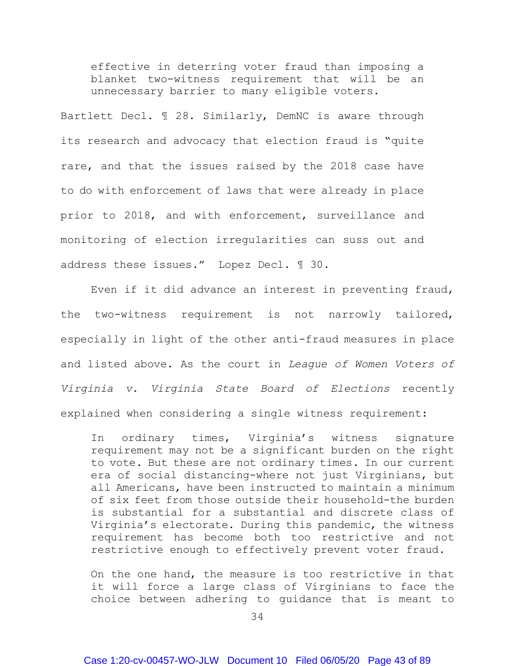effective in deterring voter fraud than imposing a blanket two-witness requirement that will be an unnecessary barrier to many eligible voters.

Bartlett Decl. ¶ 28. Similarly, DemNC is aware through its research and advocacy that election fraud is "quite rare, and that the issues raised by the 2018 case have to do with enforcement of laws that were already in place prior to 2018, and with enforcement, surveillance and monitoring of election irregularities can suss out and address these issues." Lopez Decl. ¶ 30.

Even if it did advance an interest in preventing fraud, the two-witness requirement is not narrowly tailored, especially in light of the other anti-fraud measures in place and listed above. As the court in *League of Women Voters of Virginia v. Virginia State Board of Elections* recently explained when considering a single witness requirement:

In ordinary times, Virginia's witness signature requirement may not be a significant burden on the right to vote. But these are not ordinary times. In our current era of social distancing-where not just Virginians, but all Americans, have been instructed to maintain a minimum of six feet from those outside their household-the burden is substantial for a substantial and discrete class of Virginia's electorate. During this pandemic, the witness requirement has become both too restrictive and not restrictive enough to effectively prevent voter fraud.

On the one hand, the measure is too restrictive in that it will force a large class of Virginians to face the choice between adhering to guidance that is meant to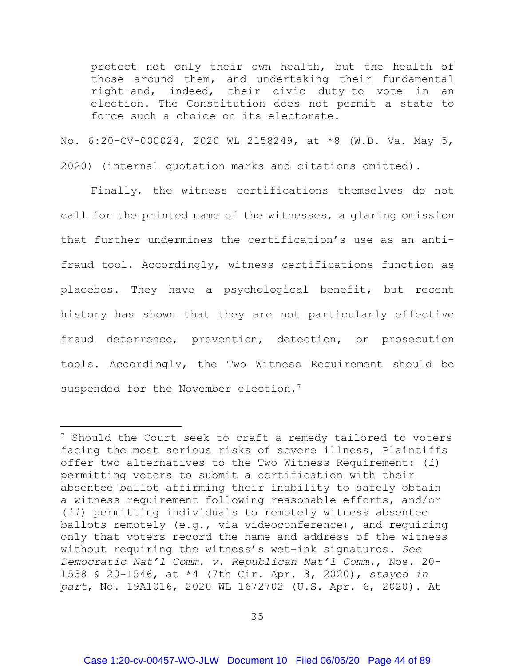protect not only their own health, but the health of those around them, and undertaking their fundamental right-and, indeed, their civic duty-to vote in an election. The Constitution does not permit a state to force such a choice on its electorate.

No. 6:20-CV-000024, 2020 WL 2158249, at \*8 (W.D. Va. May 5, 2020) (internal quotation marks and citations omitted).

Finally, the witness certifications themselves do not call for the printed name of the witnesses, a glaring omission that further undermines the certification's use as an antifraud tool. Accordingly, witness certifications function as placebos. They have a psychological benefit, but recent history has shown that they are not particularly effective fraud deterrence, prevention, detection, or prosecution tools. Accordingly, the Two Witness Requirement should be suspended for the November election.<sup>7</sup>

 $\ddot{\phantom{a}}$ 

<span id="page-43-0"></span><sup>&</sup>lt;sup>7</sup> Should the Court seek to craft a remedy tailored to voters facing the most serious risks of severe illness, Plaintiffs offer two alternatives to the Two Witness Requirement: (*i*) permitting voters to submit a certification with their absentee ballot affirming their inability to safely obtain a witness requirement following reasonable efforts, and/or (*ii*) permitting individuals to remotely witness absentee ballots remotely (e.g., via videoconference), and requiring only that voters record the name and address of the witness without requiring the witness's wet-ink signatures. *See Democratic Nat'l Comm. v. Republican Nat'l Comm.*, Nos. 20- 1538 & 20-1546, at \*4 (7th Cir. Apr. 3, 2020), *stayed in part*, No. 19A1016, 2020 WL 1672702 (U.S. Apr. 6, 2020). At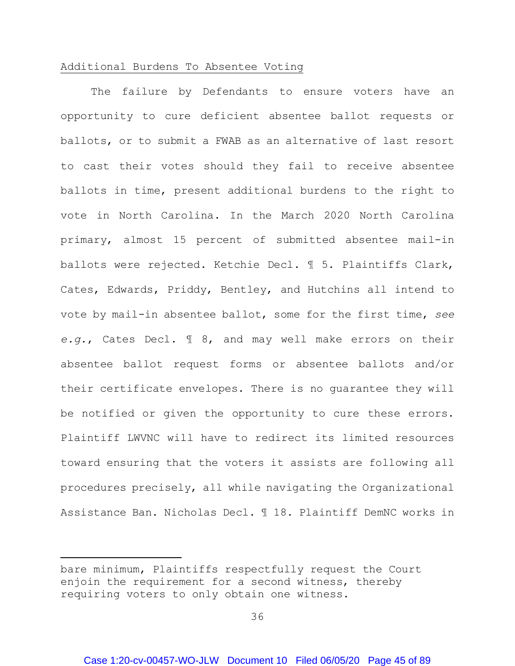#### <span id="page-44-0"></span>Additional Burdens To Absentee Voting

The failure by Defendants to ensure voters have an opportunity to cure deficient absentee ballot requests or ballots, or to submit a FWAB as an alternative of last resort to cast their votes should they fail to receive absentee ballots in time, present additional burdens to the right to vote in North Carolina. In the March 2020 North Carolina primary, almost 15 percent of submitted absentee mail-in ballots were rejected. Ketchie Decl. ¶ 5. Plaintiffs Clark, Cates, Edwards, Priddy, Bentley, and Hutchins all intend to vote by mail-in absentee ballot, some for the first time, *see e.g.*, Cates Decl. ¶ 8, and may well make errors on their absentee ballot request forms or absentee ballots and/or their certificate envelopes. There is no guarantee they will be notified or given the opportunity to cure these errors. Plaintiff LWVNC will have to redirect its limited resources toward ensuring that the voters it assists are following all procedures precisely, all while navigating the Organizational Assistance Ban. Nicholas Decl. ¶ 18. Plaintiff DemNC works in

 $\ddot{\phantom{a}}$ 

bare minimum, Plaintiffs respectfully request the Court enjoin the requirement for a second witness, thereby requiring voters to only obtain one witness.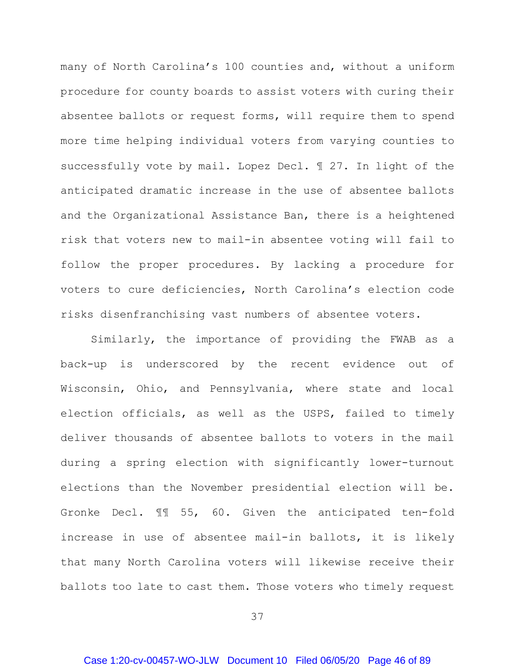many of North Carolina's 100 counties and, without a uniform procedure for county boards to assist voters with curing their absentee ballots or request forms, will require them to spend more time helping individual voters from varying counties to successfully vote by mail. Lopez Decl. ¶ 27. In light of the anticipated dramatic increase in the use of absentee ballots and the Organizational Assistance Ban, there is a heightened risk that voters new to mail-in absentee voting will fail to follow the proper procedures. By lacking a procedure for voters to cure deficiencies, North Carolina's election code risks disenfranchising vast numbers of absentee voters.

Similarly, the importance of providing the FWAB as a back-up is underscored by the recent evidence out of Wisconsin, Ohio, and Pennsylvania, where state and local election officials, as well as the USPS, failed to timely deliver thousands of absentee ballots to voters in the mail during a spring election with significantly lower-turnout elections than the November presidential election will be. Gronke Decl. ¶¶ 55, 60. Given the anticipated ten-fold increase in use of absentee mail-in ballots, it is likely that many North Carolina voters will likewise receive their ballots too late to cast them. Those voters who timely request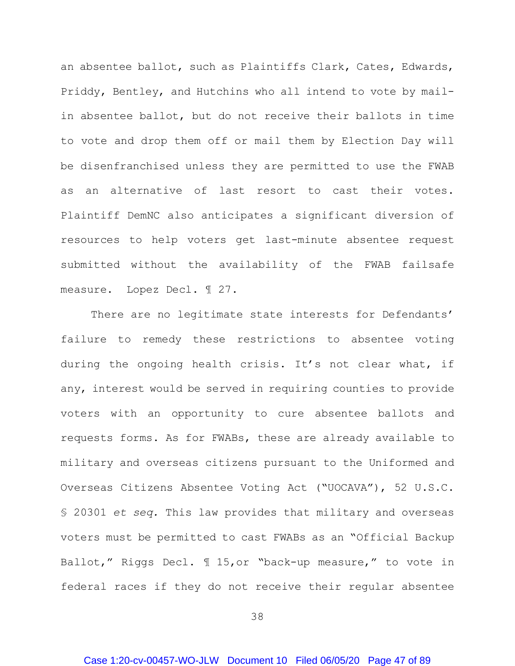an absentee ballot, such as Plaintiffs Clark, Cates, Edwards, Priddy, Bentley, and Hutchins who all intend to vote by mailin absentee ballot, but do not receive their ballots in time to vote and drop them off or mail them by Election Day will be disenfranchised unless they are permitted to use the FWAB as an alternative of last resort to cast their votes. Plaintiff DemNC also anticipates a significant diversion of resources to help voters get last-minute absentee request submitted without the availability of the FWAB failsafe measure. Lopez Decl. ¶ 27.

There are no legitimate state interests for Defendants' failure to remedy these restrictions to absentee voting during the ongoing health crisis. It's not clear what, if any, interest would be served in requiring counties to provide voters with an opportunity to cure absentee ballots and requests forms. As for FWABs, these are already available to military and overseas citizens pursuant to the Uniformed and Overseas Citizens Absentee Voting Act ("UOCAVA"), 52 U.S.C. § 20301 *et seq.* This law provides that military and overseas voters must be permitted to cast FWABs as an "Official Backup Ballot," Riggs Decl. ¶ 15,or "back-up measure," to vote in federal races if they do not receive their regular absentee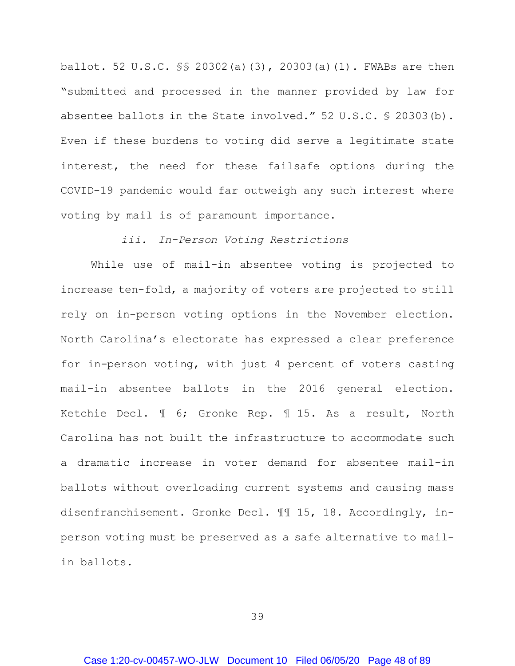ballot. 52 U.S.C. §§ 20302(a)(3), 20303(a)(1). FWABs are then "submitted and processed in the manner provided by law for absentee ballots in the State involved." 52 U.S.C. § 20303(b). Even if these burdens to voting did serve a legitimate state interest, the need for these failsafe options during the COVID-19 pandemic would far outweigh any such interest where voting by mail is of paramount importance.

### *iii. In-Person Voting Restrictions*

While use of mail-in absentee voting is projected to increase ten-fold, a majority of voters are projected to still rely on in-person voting options in the November election. North Carolina's electorate has expressed a clear preference for in-person voting, with just 4 percent of voters casting mail-in absentee ballots in the 2016 general election. Ketchie Decl. ¶ 6; Gronke Rep. ¶ 15. As a result, North Carolina has not built the infrastructure to accommodate such a dramatic increase in voter demand for absentee mail-in ballots without overloading current systems and causing mass disenfranchisement. Gronke Decl. ¶¶ 15, 18. Accordingly, inperson voting must be preserved as a safe alternative to mailin ballots.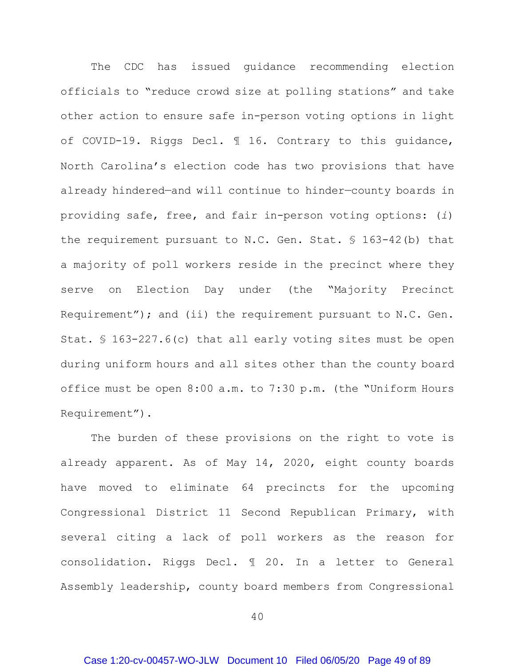The CDC has issued guidance recommending election officials to "reduce crowd size at polling stations" and take other action to ensure safe in-person voting options in light of COVID-19. Riggs Decl. ¶ 16. Contrary to this guidance, North Carolina's election code has two provisions that have already hindered—and will continue to hinder—county boards in providing safe, free, and fair in-person voting options: (*i*) the requirement pursuant to N.C. Gen. Stat. § 163-42(b) that a majority of poll workers reside in the precinct where they serve on Election Day under (the "Majority Precinct Requirement"); and (ii) the requirement pursuant to N.C. Gen. Stat. § 163-227.6(c) that all early voting sites must be open during uniform hours and all sites other than the county board office must be open 8:00 a.m. to 7:30 p.m. (the "Uniform Hours Requirement").

The burden of these provisions on the right to vote is already apparent. As of May 14, 2020, eight county boards have moved to eliminate 64 precincts for the upcoming Congressional District 11 Second Republican Primary, with several citing a lack of poll workers as the reason for consolidation. Riggs Decl. ¶ 20. In a letter to General Assembly leadership, county board members from Congressional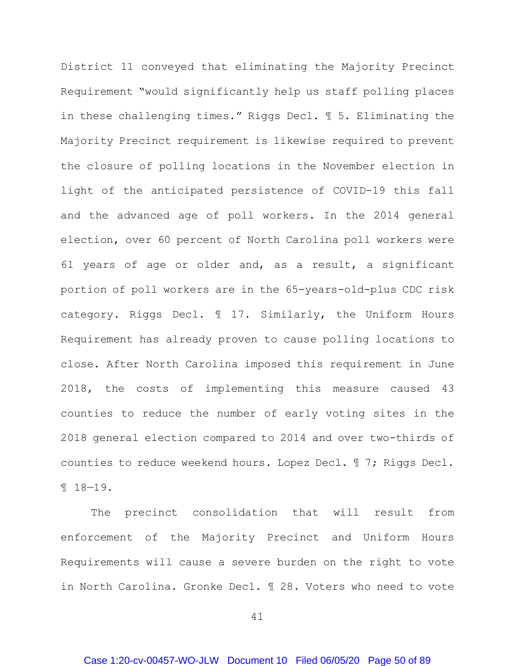District 11 conveyed that eliminating the Majority Precinct Requirement "would significantly help us staff polling places in these challenging times." Riggs Decl. ¶ 5. Eliminating the Majority Precinct requirement is likewise required to prevent the closure of polling locations in the November election in light of the anticipated persistence of COVID-19 this fall and the advanced age of poll workers. In the 2014 general election, over 60 percent of North Carolina poll workers were 61 years of age or older and, as a result, a significant portion of poll workers are in the 65-years-old-plus CDC risk category. Riggs Decl. ¶ 17. Similarly, the Uniform Hours Requirement has already proven to cause polling locations to close. After North Carolina imposed this requirement in June 2018, the costs of implementing this measure caused 43 counties to reduce the number of early voting sites in the 2018 general election compared to 2014 and over two-thirds of counties to reduce weekend hours. Lopez Decl. ¶ 7; Riggs Decl. ¶ 18—19.

The precinct consolidation that will result from enforcement of the Majority Precinct and Uniform Hours Requirements will cause a severe burden on the right to vote in North Carolina. Gronke Decl. ¶ 28. Voters who need to vote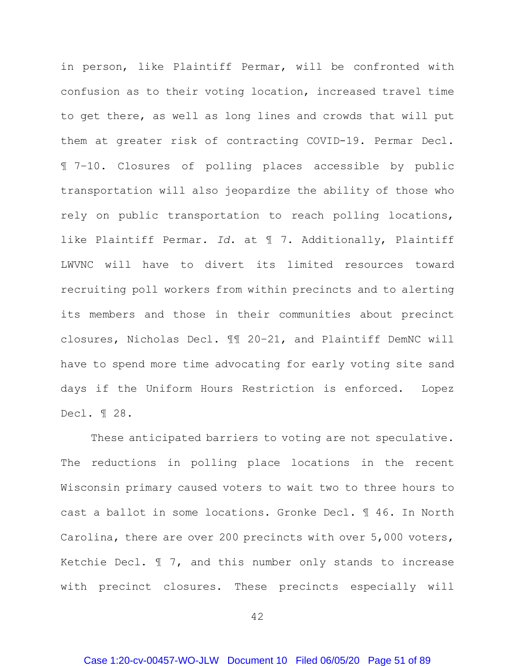in person, like Plaintiff Permar, will be confronted with confusion as to their voting location, increased travel time to get there, as well as long lines and crowds that will put them at greater risk of contracting COVID-19. Permar Decl. ¶ 7–10. Closures of polling places accessible by public transportation will also jeopardize the ability of those who rely on public transportation to reach polling locations, like Plaintiff Permar. *Id*. at ¶ 7. Additionally, Plaintiff LWVNC will have to divert its limited resources toward recruiting poll workers from within precincts and to alerting its members and those in their communities about precinct closures, Nicholas Decl. ¶¶ 20–21, and Plaintiff DemNC will have to spend more time advocating for early voting site sand days if the Uniform Hours Restriction is enforced. Lopez Decl. ¶ 28.

These anticipated barriers to voting are not speculative. The reductions in polling place locations in the recent Wisconsin primary caused voters to wait two to three hours to cast a ballot in some locations. Gronke Decl. ¶ 46. In North Carolina, there are over 200 precincts with over 5,000 voters, Ketchie Decl. ¶ 7, and this number only stands to increase with precinct closures. These precincts especially will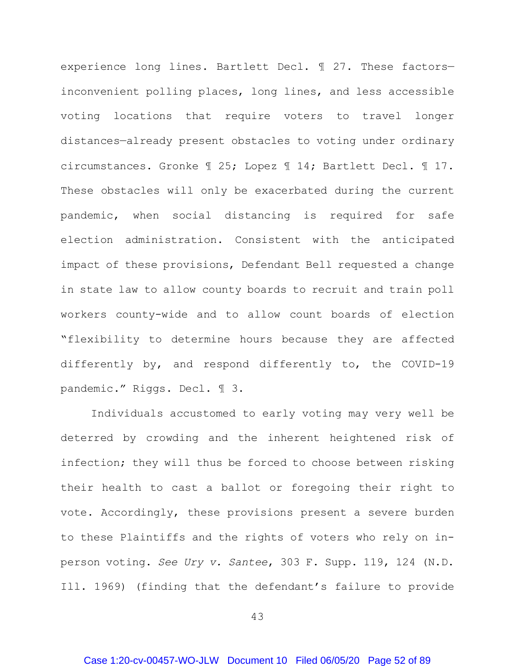experience long lines. Bartlett Decl. ¶ 27. These factors inconvenient polling places, long lines, and less accessible voting locations that require voters to travel longer distances—already present obstacles to voting under ordinary circumstances. Gronke ¶ 25; Lopez ¶ 14; Bartlett Decl. ¶ 17. These obstacles will only be exacerbated during the current pandemic, when social distancing is required for safe election administration. Consistent with the anticipated impact of these provisions, Defendant Bell requested a change in state law to allow county boards to recruit and train poll workers county-wide and to allow count boards of election "flexibility to determine hours because they are affected differently by, and respond differently to, the COVID-19 pandemic." Riggs. Decl. ¶ 3.

Individuals accustomed to early voting may very well be deterred by crowding and the inherent heightened risk of infection; they will thus be forced to choose between risking their health to cast a ballot or foregoing their right to vote. Accordingly, these provisions present a severe burden to these Plaintiffs and the rights of voters who rely on inperson voting. *See Ury v. Santee*, 303 F. Supp. 119, 124 (N.D. Ill. 1969) (finding that the defendant's failure to provide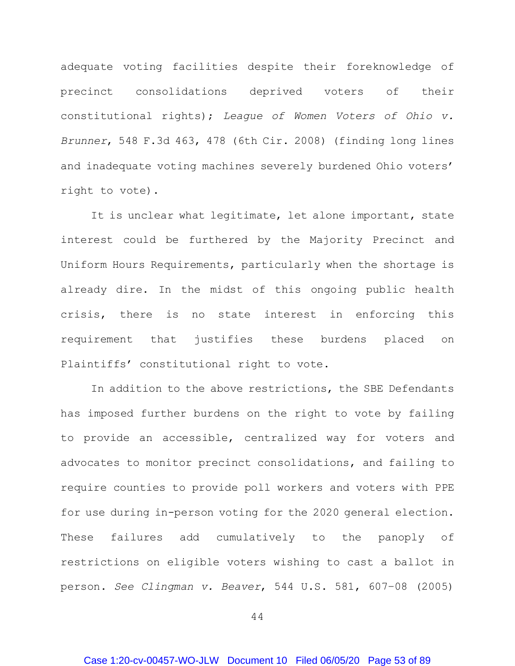adequate voting facilities despite their foreknowledge of precinct consolidations deprived voters of their constitutional rights); *League of Women Voters of Ohio v. Brunner*, 548 F.3d 463, 478 (6th Cir. 2008) (finding long lines and inadequate voting machines severely burdened Ohio voters' right to vote).

It is unclear what legitimate, let alone important, state interest could be furthered by the Majority Precinct and Uniform Hours Requirements, particularly when the shortage is already dire. In the midst of this ongoing public health crisis, there is no state interest in enforcing this requirement that justifies these burdens placed on Plaintiffs' constitutional right to vote.

In addition to the above restrictions, the SBE Defendants has imposed further burdens on the right to vote by failing to provide an accessible, centralized way for voters and advocates to monitor precinct consolidations, and failing to require counties to provide poll workers and voters with PPE for use during in-person voting for the 2020 general election. These failures add cumulatively to the panoply of restrictions on eligible voters wishing to cast a ballot in person. *See Clingman v. Beaver*, 544 U.S. 581, 607–08 (2005)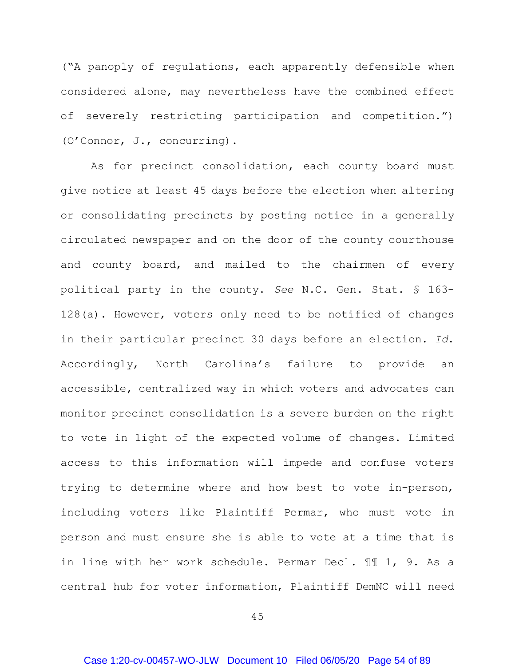("A panoply of regulations, each apparently defensible when considered alone, may nevertheless have the combined effect of severely restricting participation and competition.") (O'Connor, J., concurring).

As for precinct consolidation, each county board must give notice at least 45 days before the election when altering or consolidating precincts by posting notice in a generally circulated newspaper and on the door of the county courthouse and county board, and mailed to the chairmen of every political party in the county. *See* N.C. Gen. Stat. § 163- 128(a). However, voters only need to be notified of changes in their particular precinct 30 days before an election. *Id*. Accordingly, North Carolina's failure to provide an accessible, centralized way in which voters and advocates can monitor precinct consolidation is a severe burden on the right to vote in light of the expected volume of changes. Limited access to this information will impede and confuse voters trying to determine where and how best to vote in-person, including voters like Plaintiff Permar, who must vote in person and must ensure she is able to vote at a time that is in line with her work schedule. Permar Decl. ¶¶ 1, 9. As a central hub for voter information, Plaintiff DemNC will need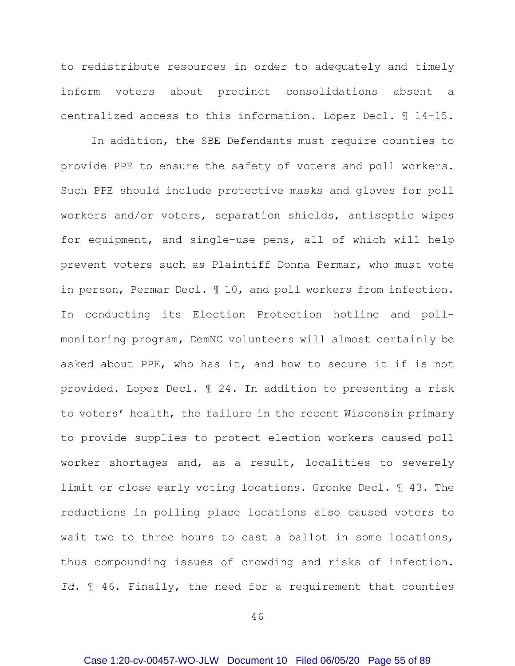to redistribute resources in order to adequately and timely inform voters about precinct consolidations absent a centralized access to this information. Lopez Decl. ¶ 14–15.

In addition, the SBE Defendants must require counties to provide PPE to ensure the safety of voters and poll workers. Such PPE should include protective masks and gloves for poll workers and/or voters, separation shields, antiseptic wipes for equipment, and single-use pens, all of which will help prevent voters such as Plaintiff Donna Permar, who must vote in person, Permar Decl. ¶ 10, and poll workers from infection. In conducting its Election Protection hotline and pollmonitoring program, DemNC volunteers will almost certainly be asked about PPE, who has it, and how to secure it if is not provided. Lopez Decl. ¶ 24. In addition to presenting a risk to voters' health, the failure in the recent Wisconsin primary to provide supplies to protect election workers caused poll worker shortages and, as a result, localities to severely limit or close early voting locations. Gronke Decl. ¶ 43. The reductions in polling place locations also caused voters to wait two to three hours to cast a ballot in some locations, thus compounding issues of crowding and risks of infection. *Id*. ¶ 46. Finally, the need for a requirement that counties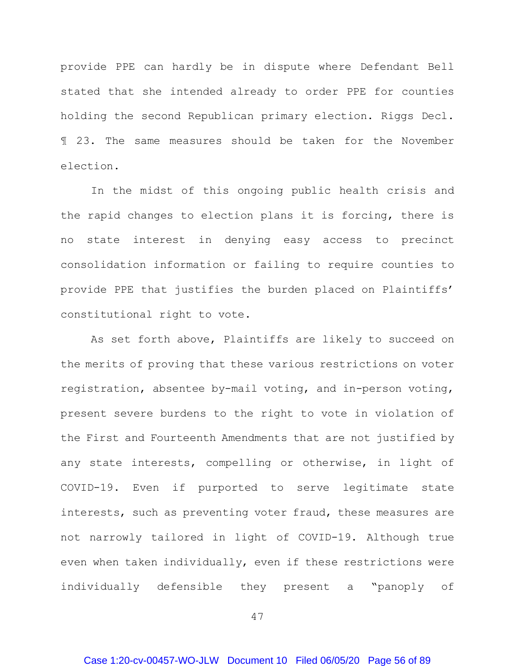provide PPE can hardly be in dispute where Defendant Bell stated that she intended already to order PPE for counties holding the second Republican primary election. Riggs Decl. ¶ 23. The same measures should be taken for the November election.

In the midst of this ongoing public health crisis and the rapid changes to election plans it is forcing, there is no state interest in denying easy access to precinct consolidation information or failing to require counties to provide PPE that justifies the burden placed on Plaintiffs' constitutional right to vote.

As set forth above, Plaintiffs are likely to succeed on the merits of proving that these various restrictions on voter registration, absentee by-mail voting, and in-person voting, present severe burdens to the right to vote in violation of the First and Fourteenth Amendments that are not justified by any state interests, compelling or otherwise, in light of COVID-19. Even if purported to serve legitimate state interests, such as preventing voter fraud, these measures are not narrowly tailored in light of COVID-19. Although true even when taken individually, even if these restrictions were individually defensible they present a "panoply of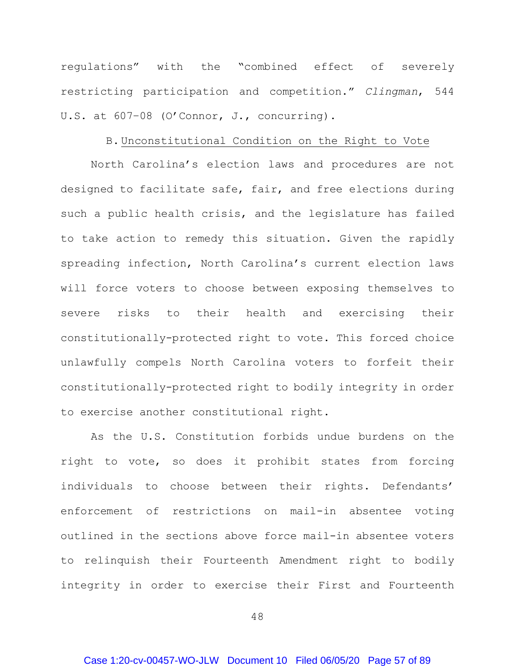regulations" with the "combined effect of severely restricting participation and competition." *Clingman*, 544 U.S. at 607–08 (O'Connor, J., concurring).

#### B. Unconstitutional Condition on the Right to Vote

North Carolina's election laws and procedures are not designed to facilitate safe, fair, and free elections during such a public health crisis, and the legislature has failed to take action to remedy this situation. Given the rapidly spreading infection, North Carolina's current election laws will force voters to choose between exposing themselves to severe risks to their health and exercising their constitutionally-protected right to vote. This forced choice unlawfully compels North Carolina voters to forfeit their constitutionally-protected right to bodily integrity in order to exercise another constitutional right.

As the U.S. Constitution forbids undue burdens on the right to vote, so does it prohibit states from forcing individuals to choose between their rights. Defendants' enforcement of restrictions on mail-in absentee voting outlined in the sections above force mail-in absentee voters to relinquish their Fourteenth Amendment right to bodily integrity in order to exercise their First and Fourteenth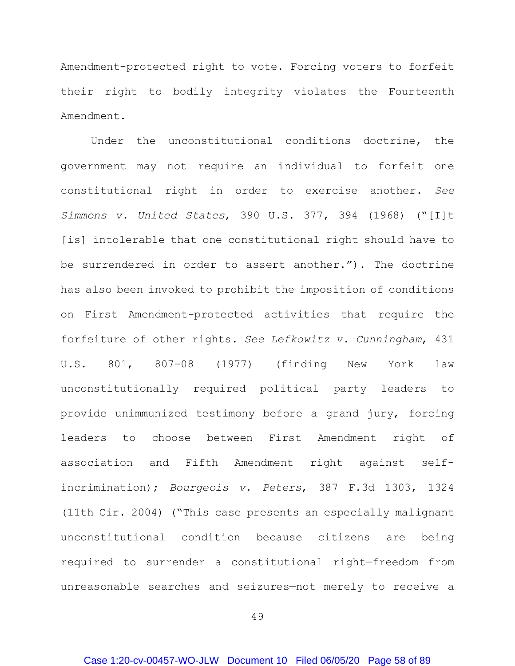Amendment-protected right to vote. Forcing voters to forfeit their right to bodily integrity violates the Fourteenth Amendment.

Under the unconstitutional conditions doctrine, the government may not require an individual to forfeit one constitutional right in order to exercise another. *See Simmons v. United States*, 390 U.S. 377, 394 (1968) ("[I]t [is] intolerable that one constitutional right should have to be surrendered in order to assert another."). The doctrine has also been invoked to prohibit the imposition of conditions on First Amendment-protected activities that require the forfeiture of other rights. *See Lefkowitz v. Cunningham*, 431 U.S. 801, 807–08 (1977) (finding New York law unconstitutionally required political party leaders to provide unimmunized testimony before a grand jury, forcing leaders to choose between First Amendment right of association and Fifth Amendment right against selfincrimination); *Bourgeois v. Peters*, 387 F.3d 1303, 1324 (11th Cir. 2004) ("This case presents an especially malignant unconstitutional condition because citizens are being required to surrender a constitutional right—freedom from unreasonable searches and seizures—not merely to receive a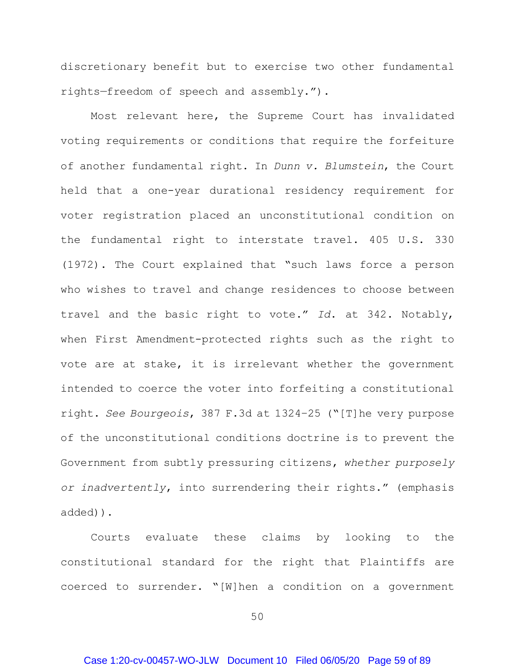discretionary benefit but to exercise two other fundamental rights—freedom of speech and assembly.").

Most relevant here, the Supreme Court has invalidated voting requirements or conditions that require the forfeiture of another fundamental right. In *Dunn v. Blumstein*, the Court held that a one-year durational residency requirement for voter registration placed an unconstitutional condition on the fundamental right to interstate travel. 405 U.S. 330 (1972). The Court explained that "such laws force a person who wishes to travel and change residences to choose between travel and the basic right to vote." *Id*. at 342. Notably, when First Amendment-protected rights such as the right to vote are at stake, it is irrelevant whether the government intended to coerce the voter into forfeiting a constitutional right. *See Bourgeois*, 387 F.3d at 1324–25 ("[T]he very purpose of the unconstitutional conditions doctrine is to prevent the Government from subtly pressuring citizens, *whether purposely or inadvertently*, into surrendering their rights." (emphasis added)).

Courts evaluate these claims by looking to the constitutional standard for the right that Plaintiffs are coerced to surrender. "[W]hen a condition on a government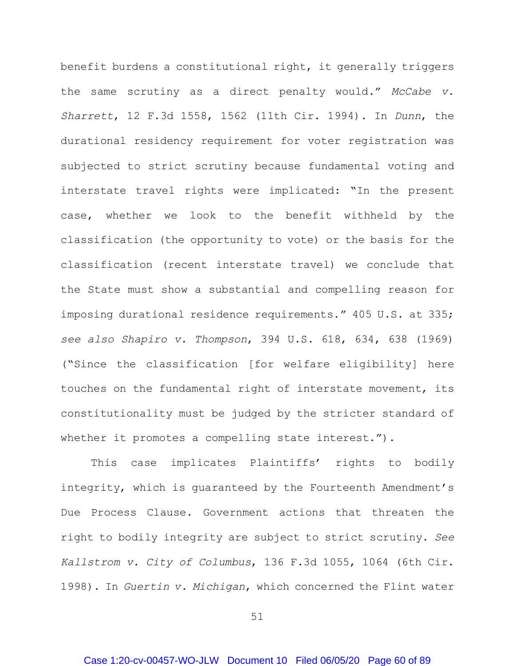benefit burdens a constitutional right, it generally triggers the same scrutiny as a direct penalty would." *McCabe v. Sharrett*, 12 F.3d 1558, 1562 (11th Cir. 1994). In *Dunn*, the durational residency requirement for voter registration was subjected to strict scrutiny because fundamental voting and interstate travel rights were implicated: "In the present case, whether we look to the benefit withheld by the classification (the opportunity to vote) or the basis for the classification (recent interstate travel) we conclude that the State must show a substantial and compelling reason for imposing durational residence requirements." 405 U.S. at 335; *see also Shapiro v. Thompson*, 394 U.S. 618, 634, 638 (1969) ("Since the classification [for welfare eligibility] here touches on the fundamental right of interstate movement, its constitutionality must be judged by the stricter standard of whether it promotes a compelling state interest.").

This case implicates Plaintiffs' rights to bodily integrity, which is guaranteed by the Fourteenth Amendment's Due Process Clause. Government actions that threaten the right to bodily integrity are subject to strict scrutiny. *See Kallstrom v. City of Columbus*, 136 F.3d 1055, 1064 (6th Cir. 1998). In *Guertin v. Michigan*, which concerned the Flint water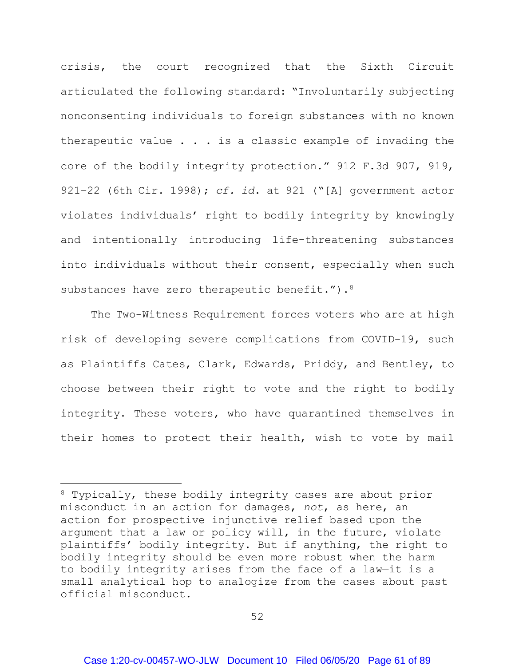crisis, the court recognized that the Sixth Circuit articulated the following standard: "Involuntarily subjecting nonconsenting individuals to foreign substances with no known therapeutic value . . . is a classic example of invading the core of the bodily integrity protection." 912 F.3d 907, 919, 921–22 (6th Cir. 1998); *cf. id*. at 921 ("[A] government actor violates individuals' right to bodily integrity by knowingly and intentionally introducing life-threatening substances into individuals without their consent, especially when such substances have zero therapeutic benefit.").<sup>[8](#page-60-0)</sup>

The Two-Witness Requirement forces voters who are at high risk of developing severe complications from COVID-19, such as Plaintiffs Cates, Clark, Edwards, Priddy, and Bentley, to choose between their right to vote and the right to bodily integrity. These voters, who have quarantined themselves in their homes to protect their health, wish to vote by mail

 $\overline{a}$ 

<span id="page-60-0"></span><sup>&</sup>lt;sup>8</sup> Typically, these bodily integrity cases are about prior misconduct in an action for damages, *not*, as here, an action for prospective injunctive relief based upon the argument that a law or policy will, in the future, violate plaintiffs' bodily integrity. But if anything, the right to bodily integrity should be even more robust when the harm to bodily integrity arises from the face of a law—it is a small analytical hop to analogize from the cases about past official misconduct.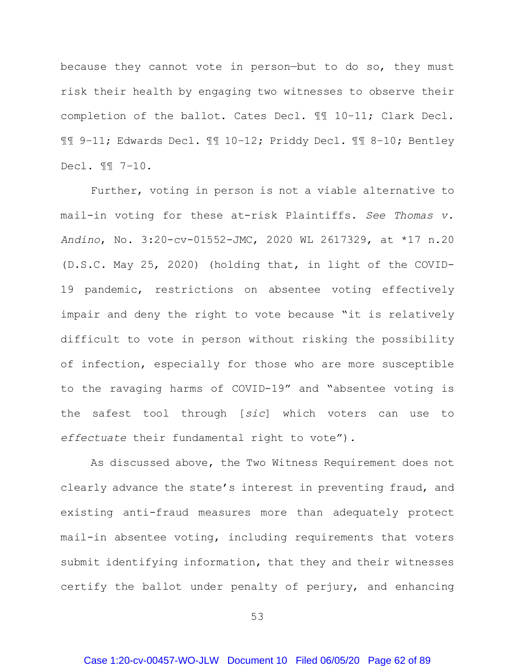because they cannot vote in person—but to do so, they must risk their health by engaging two witnesses to observe their completion of the ballot. Cates Decl. ¶¶ 10–11; Clark Decl. ¶¶ 9–11; Edwards Decl. ¶¶ 10–12; Priddy Decl. ¶¶ 8–10; Bentley Decl. ¶¶ 7–10.

Further, voting in person is not a viable alternative to mail-in voting for these at-risk Plaintiffs. *See Thomas v. Andino*, No. 3:20-cv-01552-JMC, 2020 WL 2617329, at \*17 n.20 (D.S.C. May 25, 2020) (holding that, in light of the COVID-19 pandemic, restrictions on absentee voting effectively impair and deny the right to vote because "it is relatively difficult to vote in person without risking the possibility of infection, especially for those who are more susceptible to the ravaging harms of COVID-19" and "absentee voting is the safest tool through [*sic*] which voters can use to *effectuate* their fundamental right to vote").

As discussed above, the Two Witness Requirement does not clearly advance the state's interest in preventing fraud, and existing anti-fraud measures more than adequately protect mail-in absentee voting, including requirements that voters submit identifying information, that they and their witnesses certify the ballot under penalty of perjury, and enhancing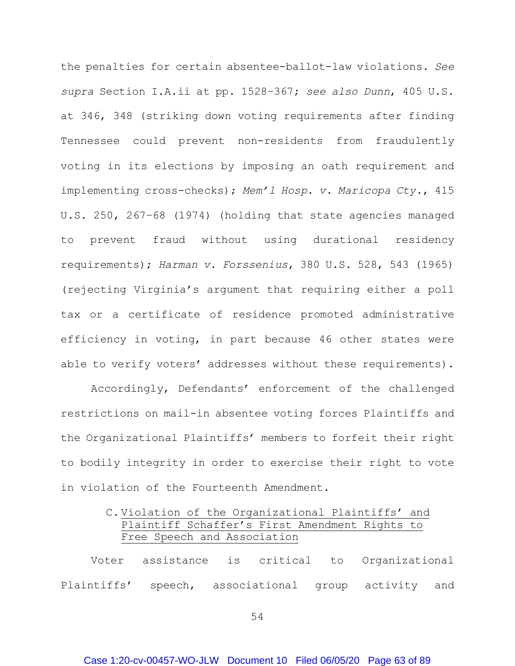the penalties for certain absentee-ballot-law violations. *See supra* Section I.A.ii at pp. 1[528](#page-36-0)[–367](#page-44-0); *see also Dunn*, 405 U.S. at 346, 348 (striking down voting requirements after finding Tennessee could prevent non-residents from fraudulently voting in its elections by imposing an oath requirement and implementing cross-checks); *Mem'l Hosp. v. Maricopa Cty.*, 415 U.S. 250, 267–68 (1974) (holding that state agencies managed to prevent fraud without using durational residency requirements); *Harman v. Forssenius*, 380 U.S. 528, 543 (1965) (rejecting Virginia's argument that requiring either a poll tax or a certificate of residence promoted administrative efficiency in voting, in part because 46 other states were able to verify voters' addresses without these requirements).

Accordingly, Defendants' enforcement of the challenged restrictions on mail-in absentee voting forces Plaintiffs and the Organizational Plaintiffs' members to forfeit their right to bodily integrity in order to exercise their right to vote in violation of the Fourteenth Amendment.

# C. Violation of the Organizational Plaintiffs' and Plaintiff Schaffer's First Amendment Rights to Free Speech and Association

Voter assistance is critical to Organizational Plaintiffs' speech, associational group activity and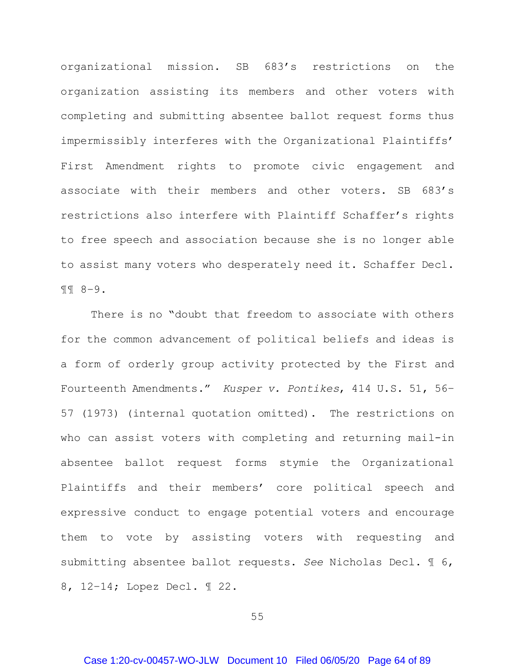organizational mission. SB 683's restrictions on the organization assisting its members and other voters with completing and submitting absentee ballot request forms thus impermissibly interferes with the Organizational Plaintiffs' First Amendment rights to promote civic engagement and associate with their members and other voters. SB 683's restrictions also interfere with Plaintiff Schaffer's rights to free speech and association because she is no longer able to assist many voters who desperately need it. Schaffer Decl. ¶¶ 8–9.

There is no "doubt that freedom to associate with others for the common advancement of political beliefs and ideas is a form of orderly group activity protected by the First and Fourteenth Amendments." *Kusper v. Pontikes*, 414 U.S. 51, 56– 57 (1973) (internal quotation omitted). The restrictions on who can assist voters with completing and returning mail-in absentee ballot request forms stymie the Organizational Plaintiffs and their members' core political speech and expressive conduct to engage potential voters and encourage them to vote by assisting voters with requesting and submitting absentee ballot requests. *See* Nicholas Decl. ¶ 6, 8, 12–14; Lopez Decl. ¶ 22.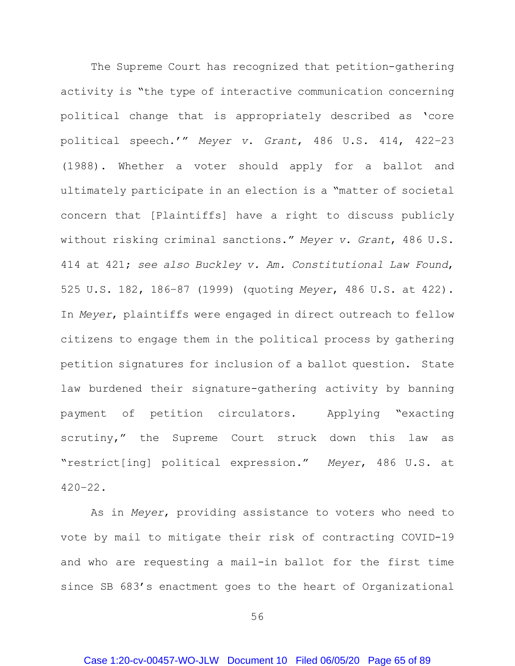The Supreme Court has recognized that petition-gathering activity is "the type of interactive communication concerning political change that is appropriately described as 'core political speech.'" *Meyer v. Grant*, 486 U.S. 414, 422–23 (1988). Whether a voter should apply for a ballot and ultimately participate in an election is a "matter of societal concern that [Plaintiffs] have a right to discuss publicly without risking criminal sanctions." *Meyer v. Grant*, 486 U.S. 414 at 421; *see also Buckley v. Am. Constitutional Law Found*, 525 U.S. 182, 186–87 (1999) (quoting *Meyer*, 486 U.S. at 422). In *Meyer*, plaintiffs were engaged in direct outreach to fellow citizens to engage them in the political process by gathering petition signatures for inclusion of a ballot question. State law burdened their signature-gathering activity by banning payment of petition circulators. Applying "exacting scrutiny," the Supreme Court struck down this law as "restrict[ing] political expression." *Meyer*, 486 U.S. at 420–22.

As in *Meyer*, providing assistance to voters who need to vote by mail to mitigate their risk of contracting COVID-19 and who are requesting a mail-in ballot for the first time since SB 683's enactment goes to the heart of Organizational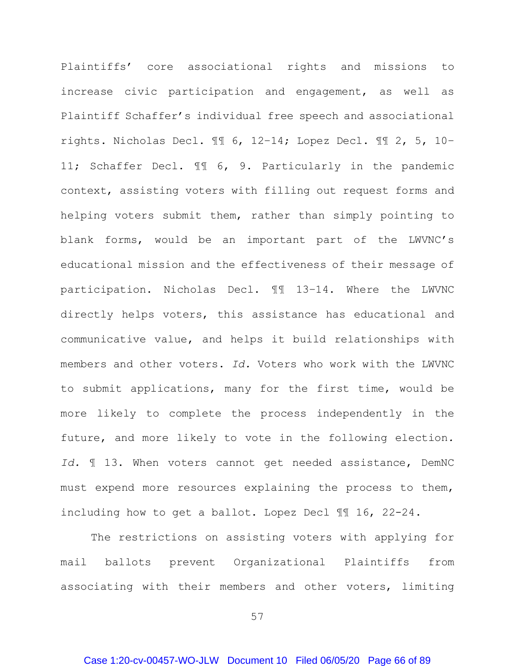Plaintiffs' core associational rights and missions to increase civic participation and engagement, as well as Plaintiff Schaffer's individual free speech and associational rights. Nicholas Decl. ¶¶ 6, 12–14; Lopez Decl. ¶¶ 2, 5, 10– 11; Schaffer Decl. ¶¶ 6, 9. Particularly in the pandemic context, assisting voters with filling out request forms and helping voters submit them, rather than simply pointing to blank forms, would be an important part of the LWVNC's educational mission and the effectiveness of their message of participation. Nicholas Decl. ¶¶ 13–14. Where the LWVNC directly helps voters, this assistance has educational and communicative value, and helps it build relationships with members and other voters. *Id.* Voters who work with the LWVNC to submit applications, many for the first time, would be more likely to complete the process independently in the future, and more likely to vote in the following election*. Id.* ¶ 13. When voters cannot get needed assistance, DemNC must expend more resources explaining the process to them, including how to get a ballot. Lopez Decl ¶¶ 16, 22-24.

The restrictions on assisting voters with applying for mail ballots prevent Organizational Plaintiffs from associating with their members and other voters, limiting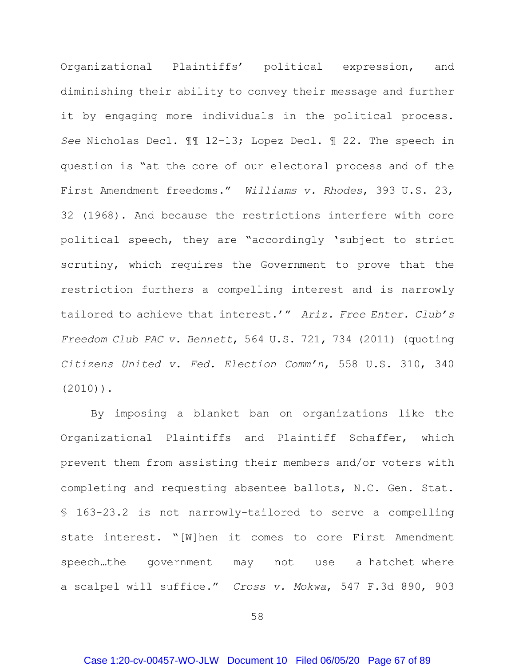Organizational Plaintiffs' political expression, and diminishing their ability to convey their message and further it by engaging more individuals in the political process. *See* Nicholas Decl. ¶¶ 12–13; Lopez Decl. ¶ 22. The speech in question is "at the core of our electoral process and of the First Amendment freedoms." *Williams v. Rhodes*, 393 U.S. 23, 32 (1968). And because the restrictions interfere with core political speech, they are "accordingly 'subject to strict scrutiny, which requires the Government to prove that the restriction furthers a compelling interest and is narrowly tailored to achieve that interest.'" *Ariz. Free Enter. Club's Freedom Club PAC v. Bennett*, 564 U.S. 721, 734 (2011) (quoting *Citizens United v. Fed. Election Comm'n*, 558 U.S. 310, 340 (2010)).

By imposing a blanket ban on organizations like the Organizational Plaintiffs and Plaintiff Schaffer, which prevent them from assisting their members and/or voters with completing and requesting absentee ballots, N.C. Gen. Stat. § 163-23.2 is not narrowly-tailored to serve a compelling state interest. "[W]hen it comes to core First Amendment speech…the government may not use a hatchet where a scalpel will suffice." *Cross v. Mokwa*, 547 F.3d 890, 903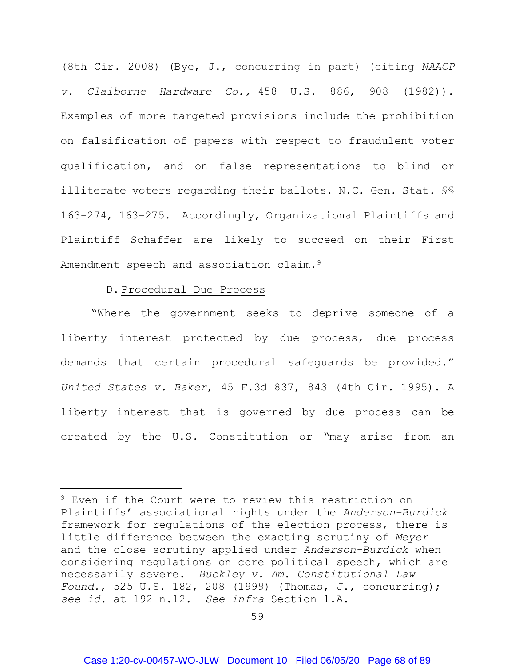(8th Cir. 2008) (Bye, J., concurring in part) (citing *NAACP v. Claiborne Hardware Co.,* 458 U.S. 886, 908 (1982)). Examples of more targeted provisions include the prohibition on falsification of papers with respect to fraudulent voter qualification, and on false representations to blind or illiterate voters regarding their ballots. N.C. Gen. Stat. §§ 163-274, 163-275. Accordingly, Organizational Plaintiffs and Plaintiff Schaffer are likely to succeed on their First Amendment speech and association claim.<sup>[9](#page-67-0)</sup>

#### D. Procedural Due Process

 $\overline{a}$ 

"Where the government seeks to deprive someone of a liberty interest protected by due process, due process demands that certain procedural safeguards be provided." *United States v. Baker*, 45 F.3d 837, 843 (4th Cir. 1995). A liberty interest that is governed by due process can be created by the U.S. Constitution or "may arise from an

<span id="page-67-0"></span><sup>&</sup>lt;sup>9</sup> Even if the Court were to review this restriction on Plaintiffs' associational rights under the *Anderson-Burdick*  framework for regulations of the election process, there is little difference between the exacting scrutiny of *Meyer* and the close scrutiny applied under *Anderson-Burdick* when considering regulations on core political speech, which are necessarily severe. *Buckley v. Am. Constitutional Law Found.*, 525 U.S. 182, 208 (1999) (Thomas, J., concurring); *see id*. at 192 n.12. *See infra* Section 1.A.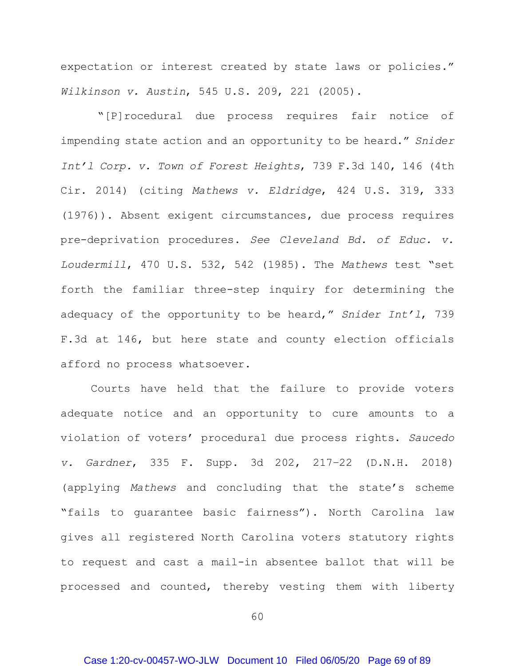expectation or interest created by state laws or policies." *Wilkinson v. Austin*, 545 U.S. 209, 221 (2005).

"[P]rocedural due process requires fair notice of impending state action and an opportunity to be heard." *Snider Int'l Corp. v. Town of Forest Heights*, 739 F.3d 140, 146 (4th Cir. 2014) (citing *Mathews v. Eldridge*, 424 U.S. 319, 333 (1976)). Absent exigent circumstances, due process requires pre-deprivation procedures. *See Cleveland Bd. of Educ. v. Loudermill*, 470 U.S. 532, 542 (1985). The *Mathews* test "set forth the familiar three-step inquiry for determining the adequacy of the opportunity to be heard," *Snider Int'l*, 739 F.3d at 146, but here state and county election officials afford no process whatsoever.

Courts have held that the failure to provide voters adequate notice and an opportunity to cure amounts to a violation of voters' procedural due process rights. *Saucedo v. Gardner*, 335 F. Supp. 3d 202, 217–22 (D.N.H. 2018) (applying *Mathews* and concluding that the state's scheme "fails to guarantee basic fairness"). North Carolina law gives all registered North Carolina voters statutory rights to request and cast a mail-in absentee ballot that will be processed and counted, thereby vesting them with liberty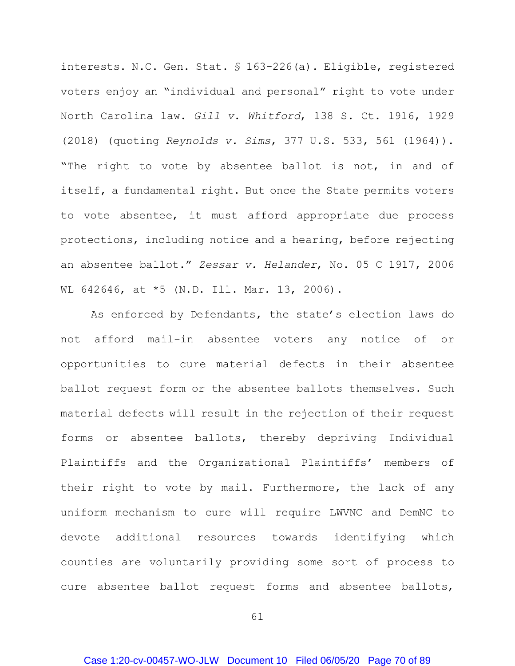interests. N.C. Gen. Stat. § 163-226(a). Eligible, registered voters enjoy an "individual and personal" right to vote under North Carolina law. *Gill v. Whitford*, 138 S. Ct. 1916, 1929 (2018) (quoting *Reynolds v. Sims*, 377 U.S. 533, 561 (1964)). "The right to vote by absentee ballot is not, in and of itself, a fundamental right. But once the State permits voters to vote absentee, it must afford appropriate due process protections, including notice and a hearing, before rejecting an absentee ballot." *Zessar v. Helander*, No. 05 C 1917, 2006 WL 642646, at \*5 (N.D. Ill. Mar. 13, 2006).

As enforced by Defendants, the state's election laws do not afford mail-in absentee voters any notice of or opportunities to cure material defects in their absentee ballot request form or the absentee ballots themselves. Such material defects will result in the rejection of their request forms or absentee ballots, thereby depriving Individual Plaintiffs and the Organizational Plaintiffs' members of their right to vote by mail. Furthermore, the lack of any uniform mechanism to cure will require LWVNC and DemNC to devote additional resources towards identifying which counties are voluntarily providing some sort of process to cure absentee ballot request forms and absentee ballots,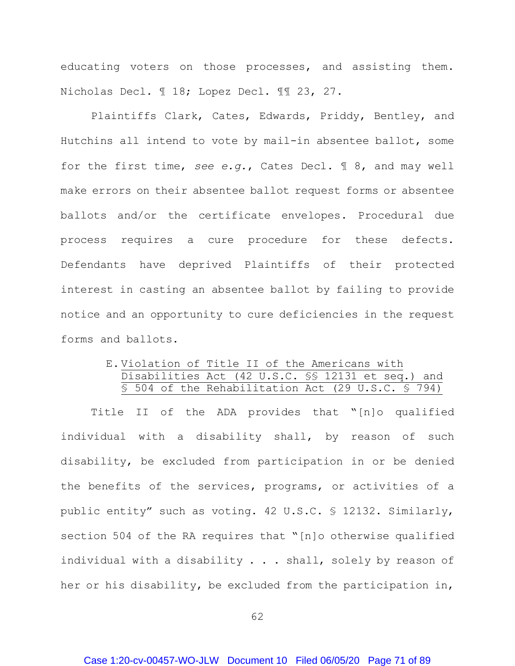educating voters on those processes, and assisting them. Nicholas Decl. ¶ 18; Lopez Decl. ¶¶ 23, 27.

Plaintiffs Clark, Cates, Edwards, Priddy, Bentley, and Hutchins all intend to vote by mail-in absentee ballot, some for the first time, *see e.g.*, Cates Decl. ¶ 8, and may well make errors on their absentee ballot request forms or absentee ballots and/or the certificate envelopes. Procedural due process requires a cure procedure for these defects. Defendants have deprived Plaintiffs of their protected interest in casting an absentee ballot by failing to provide notice and an opportunity to cure deficiencies in the request forms and ballots.

## E. Violation of Title II of the Americans with Disabilities Act (42 U.S.C. §§ 12131 et seq.) and § 504 of the Rehabilitation Act (29 U.S.C. § 794)

Title II of the ADA provides that "[n]o qualified individual with a disability shall, by reason of such disability, be excluded from participation in or be denied the benefits of the services, programs, or activities of a public entity" such as voting. 42 U.S.C. § 12132. Similarly, section 504 of the RA requires that "[n]o otherwise qualified individual with a disability . . . shall, solely by reason of her or his disability, be excluded from the participation in,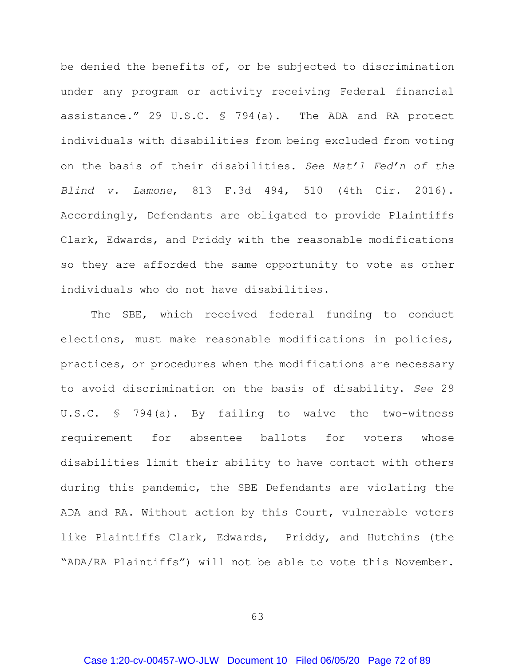be denied the benefits of, or be subjected to discrimination under any program or activity receiving Federal financial assistance." 29 U.S.C. § 794(a). The ADA and RA protect individuals with disabilities from being excluded from voting on the basis of their disabilities. *See Nat'l Fed'n of the Blind v. Lamone*, 813 F.3d 494, 510 (4th Cir. 2016). Accordingly, Defendants are obligated to provide Plaintiffs Clark, Edwards, and Priddy with the reasonable modifications so they are afforded the same opportunity to vote as other individuals who do not have disabilities.

The SBE, which received federal funding to conduct elections, must make reasonable modifications in policies, practices, or procedures when the modifications are necessary to avoid discrimination on the basis of disability. *See* 29 U.S.C. § 794(a). By failing to waive the two-witness requirement for absentee ballots for voters whose disabilities limit their ability to have contact with others during this pandemic, the SBE Defendants are violating the ADA and RA. Without action by this Court, vulnerable voters like Plaintiffs Clark, Edwards, Priddy, and Hutchins (the "ADA/RA Plaintiffs") will not be able to vote this November.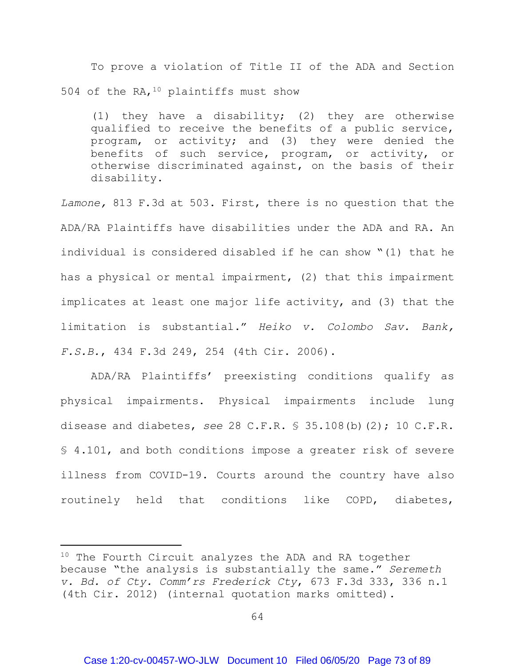To prove a violation of Title II of the ADA and Section 504 of the RA,  $10$  plaintiffs must show

(1) they have a disability; (2) they are otherwise qualified to receive the benefits of a public service, program, or activity; and (3) they were denied the benefits of such service, program, or activity, or otherwise discriminated against, on the basis of their disability.

*Lamone,* 813 F.3d at 503. First, there is no question that the ADA/RA Plaintiffs have disabilities under the ADA and RA. An individual is considered disabled if he can show "(1) that he has a physical or mental impairment, (2) that this impairment implicates at least one major life activity, and (3) that the limitation is substantial." *Heiko v. Colombo Sav. Bank, F.S.B.*, 434 F.3d 249, 254 (4th Cir. 2006).

ADA/RA Plaintiffs' preexisting conditions qualify as physical impairments. Physical impairments include lung disease and diabetes, *see* 28 C.F.R. § 35.108(b)(2); 10 C.F.R. § 4.101, and both conditions impose a greater risk of severe illness from COVID-19. Courts around the country have also routinely held that conditions like COPD, diabetes,

 $\overline{a}$ 

<span id="page-72-0"></span> $10$  The Fourth Circuit analyzes the ADA and RA together because "the analysis is substantially the same." *Seremeth v. Bd. of Cty. Comm'rs Frederick Cty*, 673 F.3d 333, 336 n.1 (4th Cir. 2012) (internal quotation marks omitted).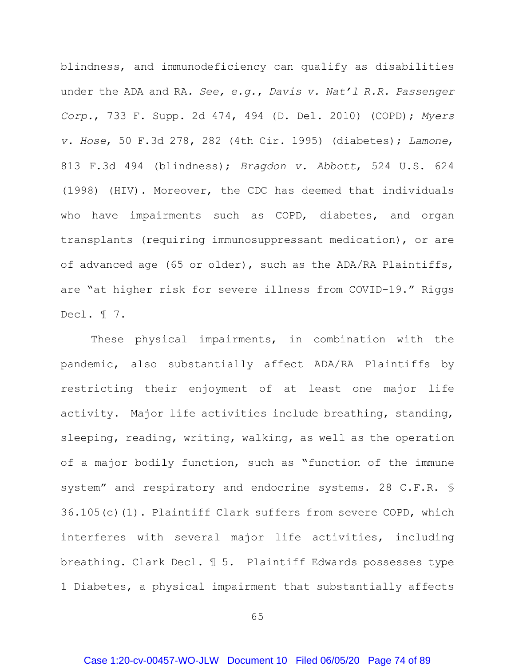blindness, and immunodeficiency can qualify as disabilities under the ADA and RA*. See, e.g.*, *Davis v. Nat'l R.R. Passenger Corp.*, 733 F. Supp. 2d 474, 494 (D. Del. 2010) (COPD); *Myers v. Hose*, 50 F.3d 278, 282 (4th Cir. 1995) (diabetes); *Lamone*, 813 F.3d 494 (blindness); *Bragdon v. Abbott*, 524 U.S. 624 (1998) (HIV). Moreover, the CDC has deemed that individuals who have impairments such as COPD, diabetes, and organ transplants (requiring immunosuppressant medication), or are of advanced age (65 or older), such as the ADA/RA Plaintiffs, are "at higher risk for severe illness from COVID-19." Riggs Decl. ¶ 7.

These physical impairments, in combination with the pandemic, also substantially affect ADA/RA Plaintiffs by restricting their enjoyment of at least one major life activity. Major life activities include breathing, standing, sleeping, reading, writing, walking, as well as the operation of a major bodily function, such as "function of the immune system" and respiratory and endocrine systems. 28 C.F.R. § 36.105(c)(1). Plaintiff Clark suffers from severe COPD, which interferes with several major life activities, including breathing. Clark Decl. ¶ 5. Plaintiff Edwards possesses type 1 Diabetes, a physical impairment that substantially affects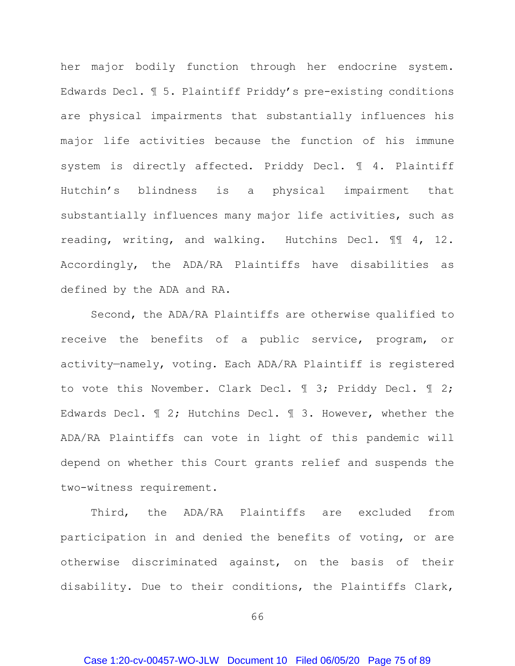her major bodily function through her endocrine system. Edwards Decl. ¶ 5. Plaintiff Priddy's pre-existing conditions are physical impairments that substantially influences his major life activities because the function of his immune system is directly affected. Priddy Decl. ¶ 4. Plaintiff Hutchin's blindness is a physical impairment that substantially influences many major life activities, such as reading, writing, and walking. Hutchins Decl. ¶¶ 4, 12. Accordingly, the ADA/RA Plaintiffs have disabilities as defined by the ADA and RA.

Second, the ADA/RA Plaintiffs are otherwise qualified to receive the benefits of a public service, program, or activity—namely, voting. Each ADA/RA Plaintiff is registered to vote this November. Clark Decl. ¶ 3; Priddy Decl. ¶ 2; Edwards Decl. ¶ 2; Hutchins Decl. ¶ 3. However, whether the ADA/RA Plaintiffs can vote in light of this pandemic will depend on whether this Court grants relief and suspends the two-witness requirement.

Third, the ADA/RA Plaintiffs are excluded from participation in and denied the benefits of voting, or are otherwise discriminated against, on the basis of their disability. Due to their conditions, the Plaintiffs Clark,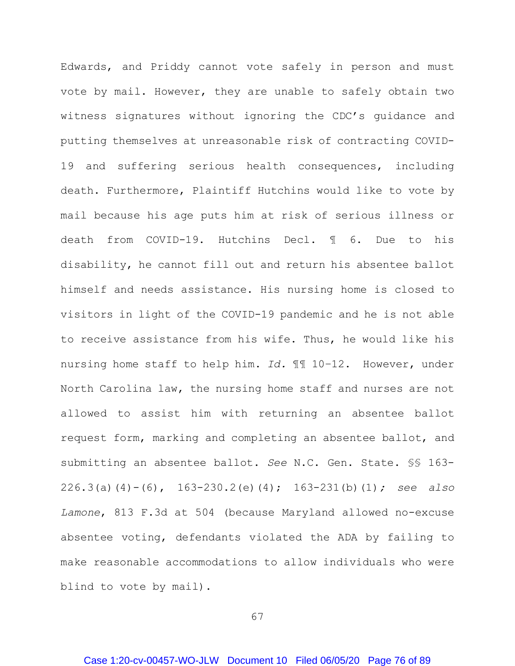Edwards, and Priddy cannot vote safely in person and must vote by mail. However, they are unable to safely obtain two witness signatures without ignoring the CDC's guidance and putting themselves at unreasonable risk of contracting COVID-19 and suffering serious health consequences, including death. Furthermore, Plaintiff Hutchins would like to vote by mail because his age puts him at risk of serious illness or death from COVID-19. Hutchins Decl. ¶ 6. Due to his disability, he cannot fill out and return his absentee ballot himself and needs assistance. His nursing home is closed to visitors in light of the COVID-19 pandemic and he is not able to receive assistance from his wife. Thus, he would like his nursing home staff to help him. *Id.* ¶¶ 10–12. However, under North Carolina law, the nursing home staff and nurses are not allowed to assist him with returning an absentee ballot request form, marking and completing an absentee ballot, and submitting an absentee ballot. *See* N.C. Gen. State. §§ 163- 226.3(a)(4)-(6), 163-230.2(e)(4); 163-231(b)(1)*; see also Lamone*, 813 F.3d at 504 (because Maryland allowed no-excuse absentee voting, defendants violated the ADA by failing to make reasonable accommodations to allow individuals who were blind to vote by mail).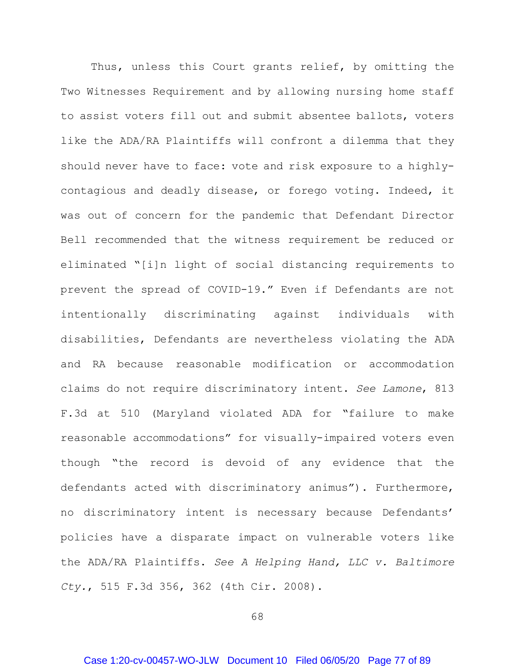Thus, unless this Court grants relief, by omitting the Two Witnesses Requirement and by allowing nursing home staff to assist voters fill out and submit absentee ballots, voters like the ADA/RA Plaintiffs will confront a dilemma that they should never have to face: vote and risk exposure to a highlycontagious and deadly disease, or forego voting. Indeed, it was out of concern for the pandemic that Defendant Director Bell recommended that the witness requirement be reduced or eliminated "[i]n light of social distancing requirements to prevent the spread of COVID-19." Even if Defendants are not intentionally discriminating against individuals with disabilities, Defendants are nevertheless violating the ADA and RA because reasonable modification or accommodation claims do not require discriminatory intent. *See Lamone*, 813 F.3d at 510 (Maryland violated ADA for "failure to make reasonable accommodations" for visually-impaired voters even though "the record is devoid of any evidence that the defendants acted with discriminatory animus"). Furthermore, no discriminatory intent is necessary because Defendants' policies have a disparate impact on vulnerable voters like the ADA/RA Plaintiffs. *See A Helping Hand, LLC v. Baltimore Cty.*, 515 F.3d 356, 362 (4th Cir. 2008).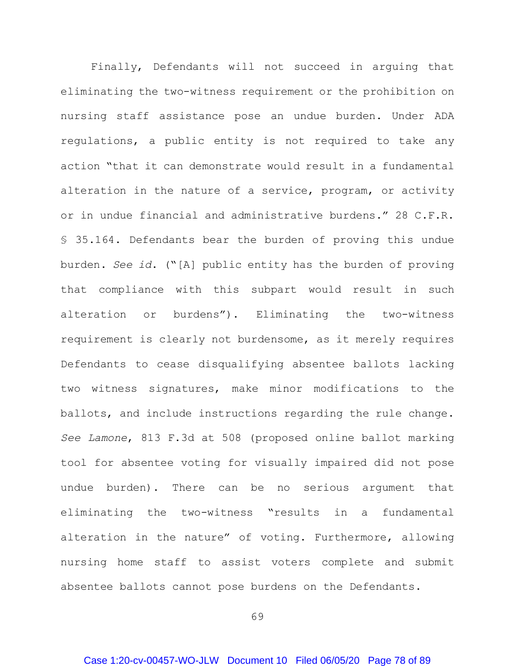Finally, Defendants will not succeed in arguing that eliminating the two-witness requirement or the prohibition on nursing staff assistance pose an undue burden. Under ADA regulations, a public entity is not required to take any action "that it can demonstrate would result in a fundamental alteration in the nature of a service, program, or activity or in undue financial and administrative burdens." 28 C.F.R. § 35.164. Defendants bear the burden of proving this undue burden. *See id*. ("[A] public entity has the burden of proving that compliance with this subpart would result in such alteration or burdens"). Eliminating the two-witness requirement is clearly not burdensome, as it merely requires Defendants to cease disqualifying absentee ballots lacking two witness signatures, make minor modifications to the ballots, and include instructions regarding the rule change. *See Lamone*, 813 F.3d at 508 (proposed online ballot marking tool for absentee voting for visually impaired did not pose undue burden). There can be no serious argument that eliminating the two-witness "results in a fundamental alteration in the nature" of voting. Furthermore, allowing nursing home staff to assist voters complete and submit absentee ballots cannot pose burdens on the Defendants.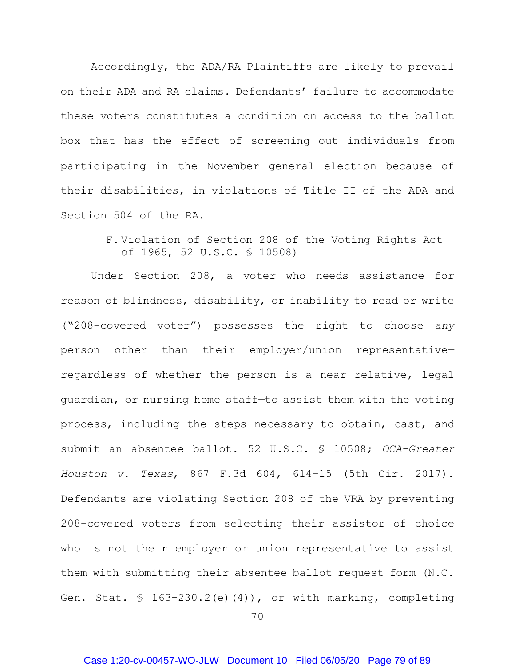Accordingly, the ADA/RA Plaintiffs are likely to prevail on their ADA and RA claims. Defendants' failure to accommodate these voters constitutes a condition on access to the ballot box that has the effect of screening out individuals from participating in the November general election because of their disabilities, in violations of Title II of the ADA and Section 504 of the RA.

## F. Violation of Section 208 of the Voting Rights Act of 1965, 52 U.S.C. § 10508)

Under Section 208, a voter who needs assistance for reason of blindness, disability, or inability to read or write ("208-covered voter") possesses the right to choose *any* person other than their employer/union representative regardless of whether the person is a near relative, legal guardian, or nursing home staff—to assist them with the voting process, including the steps necessary to obtain, cast, and submit an absentee ballot. 52 U.S.C. § 10508; *OCA-Greater Houston v. Texas*, 867 F.3d 604, 614–15 (5th Cir. 2017). Defendants are violating Section 208 of the VRA by preventing 208-covered voters from selecting their assistor of choice who is not their employer or union representative to assist them with submitting their absentee ballot request form (N.C. Gen. Stat.  $\frac{163-230.2(e)(4)}{100}$ , or with marking, completing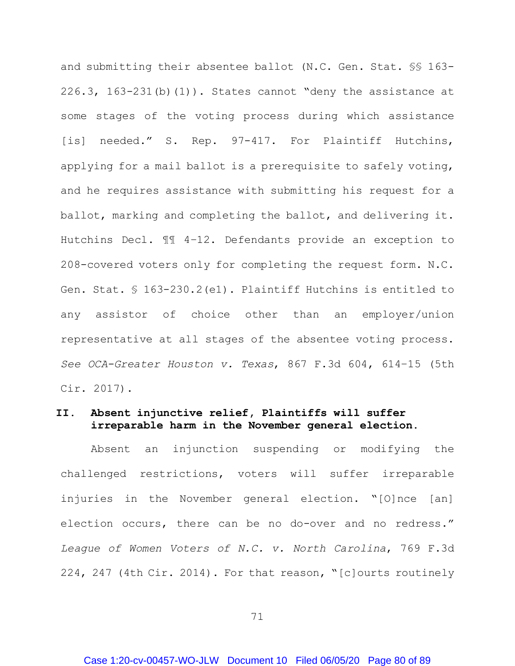and submitting their absentee ballot (N.C. Gen. Stat. §§ 163- 226.3,  $163-231$ (b)(1)). States cannot "deny the assistance at some stages of the voting process during which assistance [is] needed." S. Rep. 97-417. For Plaintiff Hutchins, applying for a mail ballot is a prerequisite to safely voting, and he requires assistance with submitting his request for a ballot, marking and completing the ballot, and delivering it. Hutchins Decl. ¶¶ 4–12. Defendants provide an exception to 208-covered voters only for completing the request form. N.C. Gen. Stat. § 163-230.2(e1). Plaintiff Hutchins is entitled to any assistor of choice other than an employer/union representative at all stages of the absentee voting process. *See OCA-Greater Houston v. Texas*, 867 F.3d 604, 614–15 (5th Cir. 2017).

## **II. Absent injunctive relief, Plaintiffs will suffer irreparable harm in the November general election.**

Absent an injunction suspending or modifying the challenged restrictions, voters will suffer irreparable injuries in the November general election. "[O]nce [an] election occurs, there can be no do-over and no redress." *League of Women Voters of N.C. v. North Carolina*, 769 F.3d 224, 247 (4th Cir. 2014). For that reason, "[c]ourts routinely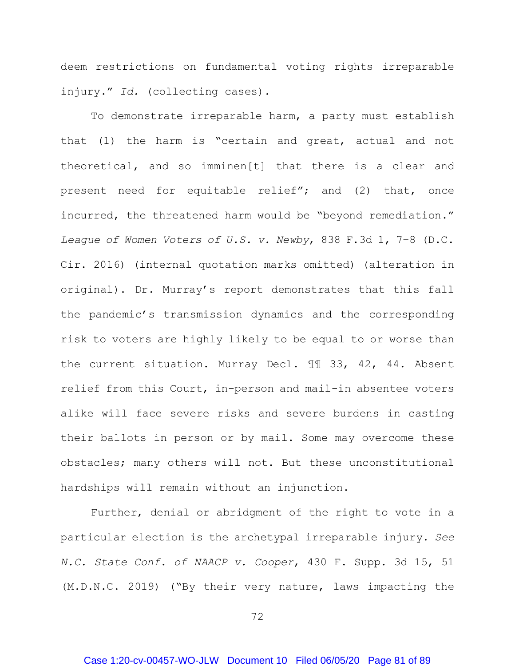deem restrictions on fundamental voting rights irreparable injury." *Id.* (collecting cases).

To demonstrate irreparable harm, a party must establish that (1) the harm is "certain and great, actual and not theoretical, and so imminen[t] that there is a clear and present need for equitable relief"; and (2) that, once incurred, the threatened harm would be "beyond remediation." *League of Women Voters of U.S. v. Newby*, 838 F.3d 1, 7–8 (D.C. Cir. 2016) (internal quotation marks omitted) (alteration in original). Dr. Murray's report demonstrates that this fall the pandemic's transmission dynamics and the corresponding risk to voters are highly likely to be equal to or worse than the current situation. Murray Decl. ¶¶ 33, 42, 44. Absent relief from this Court, in-person and mail-in absentee voters alike will face severe risks and severe burdens in casting their ballots in person or by mail. Some may overcome these obstacles; many others will not. But these unconstitutional hardships will remain without an injunction.

Further, denial or abridgment of the right to vote in a particular election is the archetypal irreparable injury. *See N.C. State Conf. of NAACP v. Cooper*, 430 F. Supp. 3d 15, 51 (M.D.N.C. 2019) ("By their very nature, laws impacting the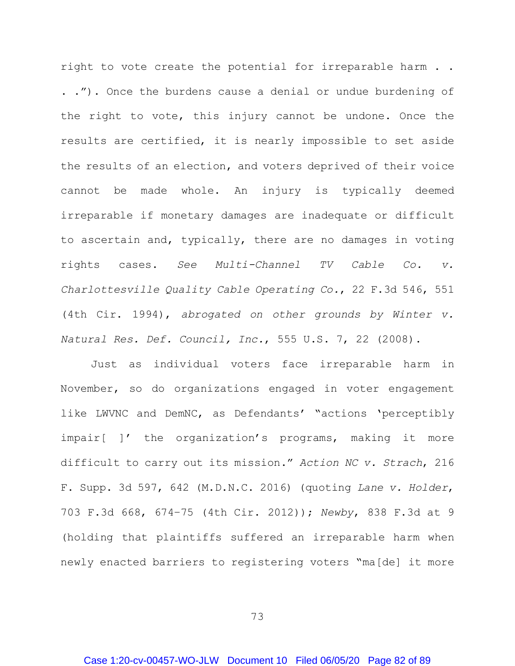right to vote create the potential for irreparable harm . . . ."). Once the burdens cause a denial or undue burdening of the right to vote, this injury cannot be undone. Once the results are certified, it is nearly impossible to set aside the results of an election, and voters deprived of their voice cannot be made whole. An injury is typically deemed irreparable if monetary damages are inadequate or difficult to ascertain and, typically, there are no damages in voting rights cases. *See Multi-Channel TV Cable Co. v. Charlottesville Quality Cable Operating Co.*, 22 F.3d 546, 551 (4th Cir. 1994), *abrogated on other grounds by Winter v. Natural Res. Def. Council, Inc.*, 555 U.S. 7, 22 (2008).

Just as individual voters face irreparable harm in November, so do organizations engaged in voter engagement like LWVNC and DemNC, as Defendants' "actions 'perceptibly impair[ ]' the organization's programs, making it more difficult to carry out its mission." *Action NC v. Strach*, 216 F. Supp. 3d 597, 642 (M.D.N.C. 2016) (quoting *Lane v. Holder*, 703 F.3d 668, 674–75 (4th Cir. 2012)); *Newby*, 838 F.3d at 9 (holding that plaintiffs suffered an irreparable harm when newly enacted barriers to registering voters "ma[de] it more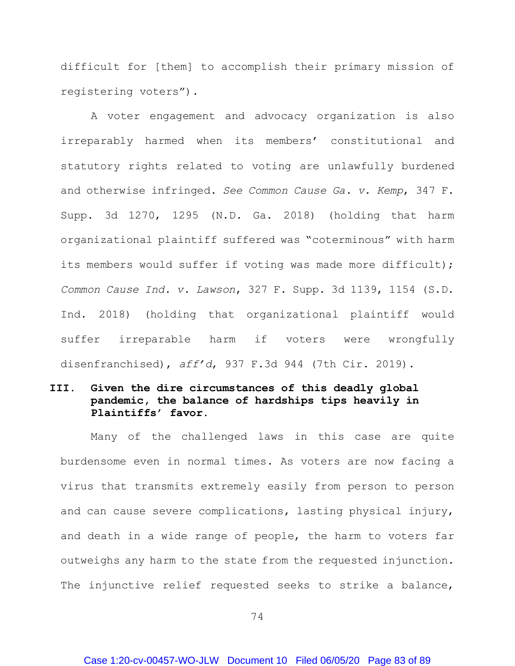difficult for [them] to accomplish their primary mission of registering voters").

A voter engagement and advocacy organization is also irreparably harmed when its members' constitutional and statutory rights related to voting are unlawfully burdened and otherwise infringed. *See Common Cause Ga. v. Kemp*, 347 F. Supp. 3d 1270, 1295 (N.D. Ga. 2018) (holding that harm organizational plaintiff suffered was "coterminous" with harm its members would suffer if voting was made more difficult); *Common Cause Ind. v. Lawson*, 327 F. Supp. 3d 1139, 1154 (S.D. Ind. 2018) (holding that organizational plaintiff would suffer irreparable harm if voters were wrongfully disenfranchised), *aff'd*, 937 F.3d 944 (7th Cir. 2019).

## **III. Given the dire circumstances of this deadly global pandemic, the balance of hardships tips heavily in Plaintiffs' favor.**

Many of the challenged laws in this case are quite burdensome even in normal times. As voters are now facing a virus that transmits extremely easily from person to person and can cause severe complications, lasting physical injury, and death in a wide range of people, the harm to voters far outweighs any harm to the state from the requested injunction. The injunctive relief requested seeks to strike a balance,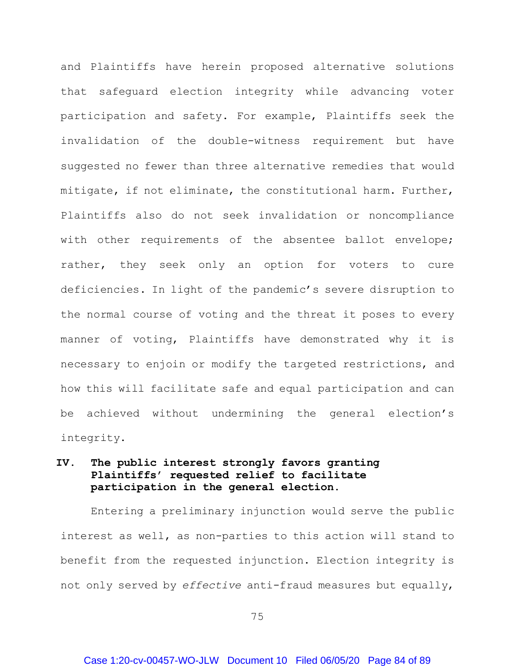and Plaintiffs have herein proposed alternative solutions that safeguard election integrity while advancing voter participation and safety. For example, Plaintiffs seek the invalidation of the double-witness requirement but have suggested no fewer than three alternative remedies that would mitigate, if not eliminate, the constitutional harm. Further, Plaintiffs also do not seek invalidation or noncompliance with other requirements of the absentee ballot envelope; rather, they seek only an option for voters to cure deficiencies. In light of the pandemic's severe disruption to the normal course of voting and the threat it poses to every manner of voting, Plaintiffs have demonstrated why it is necessary to enjoin or modify the targeted restrictions, and how this will facilitate safe and equal participation and can be achieved without undermining the general election's integrity.

# **IV. The public interest strongly favors granting Plaintiffs' requested relief to facilitate participation in the general election.**

Entering a preliminary injunction would serve the public interest as well, as non-parties to this action will stand to benefit from the requested injunction. Election integrity is not only served by *effective* anti-fraud measures but equally,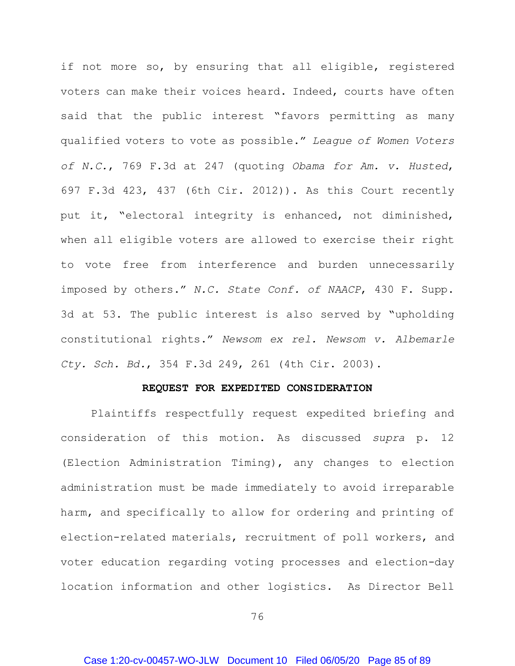if not more so, by ensuring that all eligible, registered voters can make their voices heard. Indeed, courts have often said that the public interest "favors permitting as many qualified voters to vote as possible." *League of Women Voters of N.C.*, 769 F.3d at 247 (quoting *Obama for Am. v. Husted*, 697 F.3d 423, 437 (6th Cir. 2012)). As this Court recently put it, "electoral integrity is enhanced, not diminished, when all eligible voters are allowed to exercise their right to vote free from interference and burden unnecessarily imposed by others." *N.C. State Conf. of NAACP*, 430 F. Supp. 3d at 53. The public interest is also served by "upholding constitutional rights." *Newsom ex rel. Newsom v. Albemarle Cty. Sch. Bd.*, 354 F.3d 249, 261 (4th Cir. 2003).

#### **REQUEST FOR EXPEDITED CONSIDERATION**

Plaintiffs respectfully request expedited briefing and consideration of this motion. As discussed *supra* p. [12](#page-20-0) (Election Administration Timing), any changes to election administration must be made immediately to avoid irreparable harm, and specifically to allow for ordering and printing of election-related materials, recruitment of poll workers, and voter education regarding voting processes and election-day location information and other logistics. As Director Bell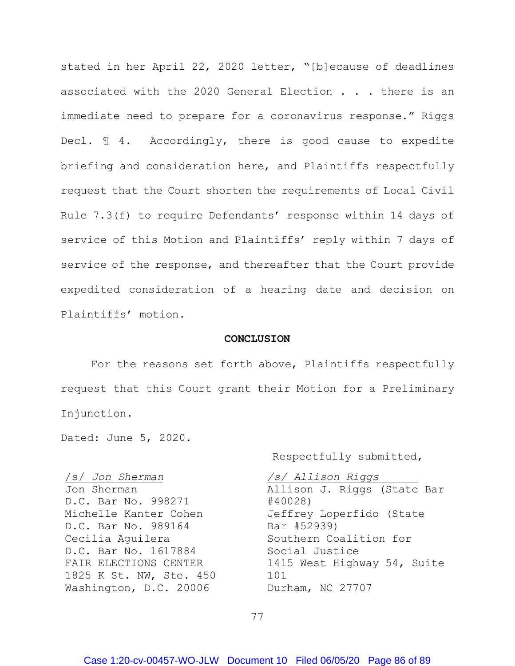stated in her April 22, 2020 letter, "[b]ecause of deadlines associated with the 2020 General Election . . . there is an immediate need to prepare for a coronavirus response." Riggs Decl. ¶ 4. Accordingly, there is good cause to expedite briefing and consideration here, and Plaintiffs respectfully request that the Court shorten the requirements of Local Civil Rule 7.3(f) to require Defendants' response within 14 days of service of this Motion and Plaintiffs' reply within 7 days of service of the response, and thereafter that the Court provide expedited consideration of a hearing date and decision on Plaintiffs' motion.

#### **CONCLUSION**

For the reasons set forth above, Plaintiffs respectfully request that this Court grant their Motion for a Preliminary Injunction.

Dated: June 5, 2020.

/s/ *Jon Sherman* Jon Sherman D.C. Bar No. 998271 Michelle Kanter Cohen D.C. Bar No. 989164 Cecilia Aguilera D.C. Bar No. 1617884 FAIR ELECTIONS CENTER 1825 K St. NW, Ste. 450 Washington, D.C. 20006

Respectfully submitted,

*/s/ Allison Riggs* Allison J. Riggs (State Bar #40028) Jeffrey Loperfido (State Bar #52939) Southern Coalition for Social Justice 1415 West Highway 54, Suite 101 Durham, NC 27707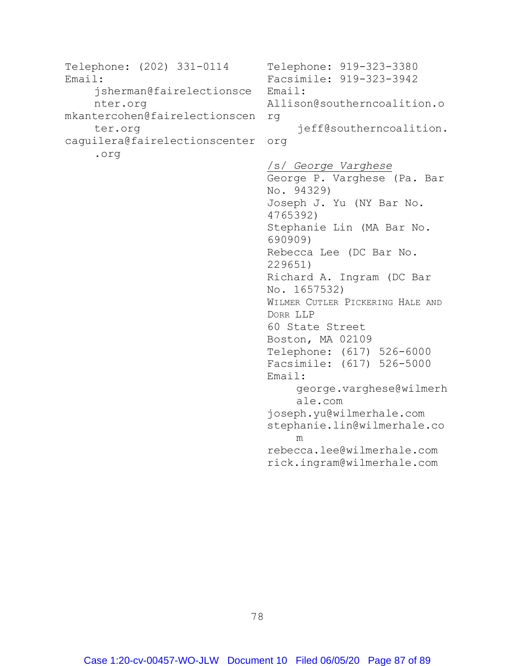```
Telephone: (202) 331-0114
Email: 
    jsherman@fairelectionsce
    nter.org
mkantercohen@fairelectionscen
rg
    ter.org
caguilera@fairelectionscenter
org
    .org
```
Telephone: 919-323-3380 Facsimile: 919-323-3942 Email: Allison@southerncoalition.o jeff@southerncoalition. /s/ *George Varghese* George P. Varghese (Pa. Bar No. 94329) Joseph J. Yu (NY Bar No. 4765392) Stephanie Lin (MA Bar No. 690909) Rebecca Lee (DC Bar No. 229651) Richard A. Ingram (DC Bar No. 1657532) WILMER CUTLER PICKERING HALE AND DORR LLP 60 State Street Boston, MA 02109 Telephone: (617) 526-6000 Facsimile: (617) 526-5000 Email: george.varghese@wilmerh ale.com joseph.yu@wilmerhale.com stephanie.lin@wilmerhale.co m rebecca.lee@wilmerhale.com rick.ingram@wilmerhale.com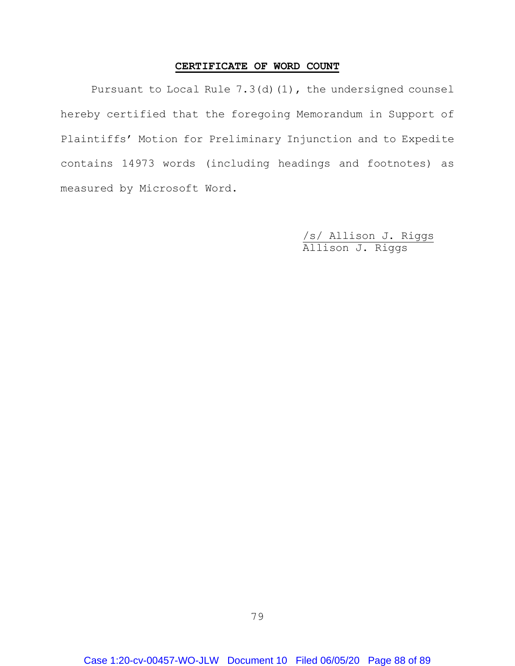## **CERTIFICATE OF WORD COUNT**

Pursuant to Local Rule 7.3(d)(1), the undersigned counsel hereby certified that the foregoing Memorandum in Support of Plaintiffs' Motion for Preliminary Injunction and to Expedite contains 14973 words (including headings and footnotes) as measured by Microsoft Word.

> /s/ Allison J. Riggs Allison J. Riggs